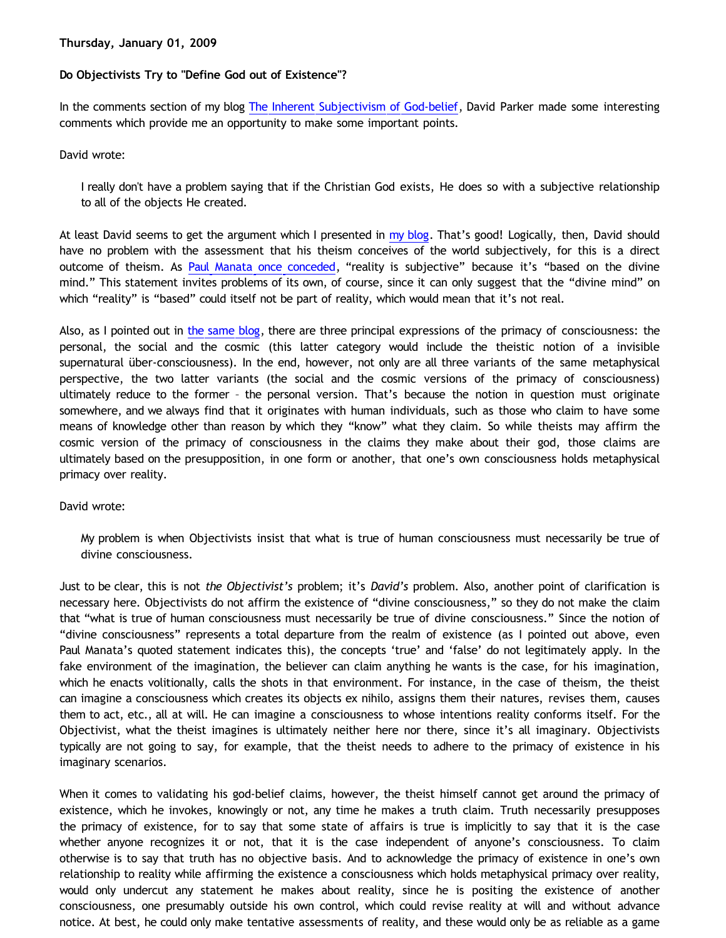### **Thursday, January 01, 2009**

### **Do Objectivists Try to "Define God out of Existence"?**

In the comments section of my blog [The Inherent Subjectivism of God-belief](http://bahnsenburner.blogspot.com/2008/12/inherent-subjectivism-of-god-belief.html), David Parker made some interesting comments which provide me an opportunity to make some important points.

David wrote:

I really don't have a problem saying that if the Christian God exists, He does so with a subjective relationship to all of the objects He created.

At least David seems to get the argument which I presented in [my blog](http://bahnsenburner.blogspot.com/2008/12/inherent-subjectivism-of-god-belief.html). That's good! Logically, then, David should have no problem with the assessment that his theism conceives of the world subjectively, for this is a direct outcome of theism. As [Paul Manata once conceded,](http://bahnsenburner.blogspot.com/2006/12/theism-and-subjective-metaphysics.html) "reality is subjective" because it's "based on the divine mind." This statement invites problems of its own, of course, since it can only suggest that the "divine mind" on which "reality" is "based" could itself not be part of reality, which would mean that it's not real.

Also, as I pointed out in [the same blog,](http://bahnsenburner.blogspot.com/2006/12/theism-and-subjective-metaphysics.html) there are three principal expressions of the primacy of consciousness: the personal, the social and the cosmic (this latter category would include the theistic notion of a invisible supernatural über-consciousness). In the end, however, not only are all three variants of the same metaphysical perspective, the two latter variants (the social and the cosmic versions of the primacy of consciousness) ultimately reduce to the former – the personal version. That's because the notion in question must originate somewhere, and we always find that it originates with human individuals, such as those who claim to have some means of knowledge other than reason by which they "know" what they claim. So while theists may affirm the cosmic version of the primacy of consciousness in the claims they make about their god, those claims are ultimately based on the presupposition, in one form or another, that one's own consciousness holds metaphysical primacy over reality.

David wrote:

My problem is when Objectivists insist that what is true of human consciousness must necessarily be true of divine consciousness.

Just to be clear, this is not *the Objectivist's* problem; it's *David's* problem. Also, another point of clarification is necessary here. Objectivists do not affirm the existence of "divine consciousness," so they do not make the claim that "what is true of human consciousness must necessarily be true of divine consciousness." Since the notion of "divine consciousness" represents a total departure from the realm of existence (as I pointed out above, even Paul Manata's quoted statement indicates this), the concepts 'true' and 'false' do not legitimately apply. In the fake environment of the imagination, the believer can claim anything he wants is the case, for his imagination, which he enacts volitionally, calls the shots in that environment. For instance, in the case of theism, the theist can imagine a consciousness which creates its objects ex nihilo, assigns them their natures, revises them, causes them to act, etc., all at will. He can imagine a consciousness to whose intentions reality conforms itself. For the Objectivist, what the theist imagines is ultimately neither here nor there, since it's all imaginary. Objectivists typically are not going to say, for example, that the theist needs to adhere to the primacy of existence in his imaginary scenarios.

When it comes to validating his god-belief claims, however, the theist himself cannot get around the primacy of existence, which he invokes, knowingly or not, any time he makes a truth claim. Truth necessarily presupposes the primacy of existence, for to say that some state of affairs is true is implicitly to say that it is the case whether anyone recognizes it or not, that it is the case independent of anyone's consciousness. To claim otherwise is to say that truth has no objective basis. And to acknowledge the primacy of existence in one's own relationship to reality while affirming the existence a consciousness which holds metaphysical primacy over reality, would only undercut any statement he makes about reality, since he is positing the existence of another consciousness, one presumably outside his own control, which could revise reality at will and without advance notice. At best, he could only make tentative assessments of reality, and these would only be as reliable as a game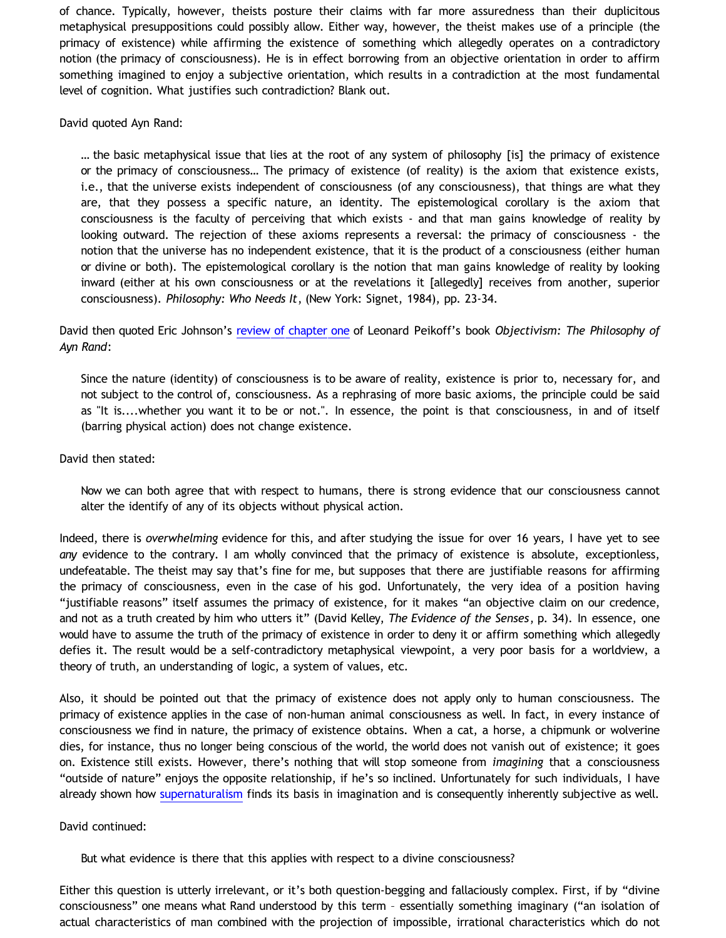of chance. Typically, however, theists posture their claims with far more assuredness than their duplicitous metaphysical presuppositions could possibly allow. Either way, however, the theist makes use of a principle (the primacy of existence) while affirming the existence of something which allegedly operates on a contradictory notion (the primacy of consciousness). He is in effect borrowing from an objective orientation in order to affirm something imagined to enjoy a subjective orientation, which results in a contradiction at the most fundamental level of cognition. What justifies such contradiction? Blank out.

David quoted Ayn Rand:

… the basic metaphysical issue that lies at the root of any system of philosophy [is] the primacy of existence or the primacy of consciousness… The primacy of existence (of reality) is the axiom that existence exists, i.e., that the universe exists independent of consciousness (of any consciousness), that things are what they are, that they possess a specific nature, an identity. The epistemological corollary is the axiom that consciousness is the faculty of perceiving that which exists - and that man gains knowledge of reality by looking outward. The rejection of these axioms represents a reversal: the primacy of consciousness - the notion that the universe has no independent existence, that it is the product of a consciousness (either human or divine or both). The epistemological corollary is the notion that man gains knowledge of reality by looking inward (either at his own consciousness or at the revelations it [allegedly] receives from another, superior consciousness). *Philosophy: Who Needs It*, (New York: Signet, 1984), pp. 23-34.

David then quoted Eric Johnson's [review of chapter one](http://enlightenment.supersaturated.com/essays/text/opar/01.html) of Leonard Peikoff's book *Objectivism: The Philosophy of Ayn Rand*:

Since the nature (identity) of consciousness is to be aware of reality, existence is prior to, necessary for, and not subject to the control of, consciousness. As a rephrasing of more basic axioms, the principle could be said as "It is....whether you want it to be or not.". In essence, the point is that consciousness, in and of itself (barring physical action) does not change existence.

# David then stated:

Now we can both agree that with respect to humans, there is strong evidence that our consciousness cannot alter the identify of any of its objects without physical action.

Indeed, there is *overwhelming* evidence for this, and after studying the issue for over 16 years, I have yet to see *any* evidence to the contrary. I am wholly convinced that the primacy of existence is absolute, exceptionless, undefeatable. The theist may say that's fine for me, but supposes that there are justifiable reasons for affirming the primacy of consciousness, even in the case of his god. Unfortunately, the very idea of a position having "justifiable reasons" itself assumes the primacy of existence, for it makes "an objective claim on our credence, and not as a truth created by him who utters it" (David Kelley, *The Evidence of the Senses*, p. 34). In essence, one would have to assume the truth of the primacy of existence in order to deny it or affirm something which allegedly defies it. The result would be a self-contradictory metaphysical viewpoint, a very poor basis for a worldview, a theory of truth, an understanding of logic, a system of values, etc.

Also, it should be pointed out that the primacy of existence does not apply only to human consciousness. The primacy of existence applies in the case of non-human animal consciousness as well. In fact, in every instance of consciousness we find in nature, the primacy of existence obtains. When a cat, a horse, a chipmunk or wolverine dies, for instance, thus no longer being conscious of the world, the world does not vanish out of existence; it goes on. Existence still exists. However, there's nothing that will stop someone from *imagining* that a consciousness "outside of nature" enjoys the opposite relationship, if he's so inclined. Unfortunately for such individuals, I have already shown how [supernaturalism](http://www.geocities.com/katholon/Bahnsen_Supernatural.htm) finds its basis in imagination and is consequently inherently subjective as well.

David continued:

But what evidence is there that this applies with respect to a divine consciousness?

Either this question is utterly irrelevant, or it's both question-begging and fallaciously complex. First, if by "divine consciousness" one means what Rand understood by this term – essentially something imaginary ("an isolation of actual characteristics of man combined with the projection of impossible, irrational characteristics which do not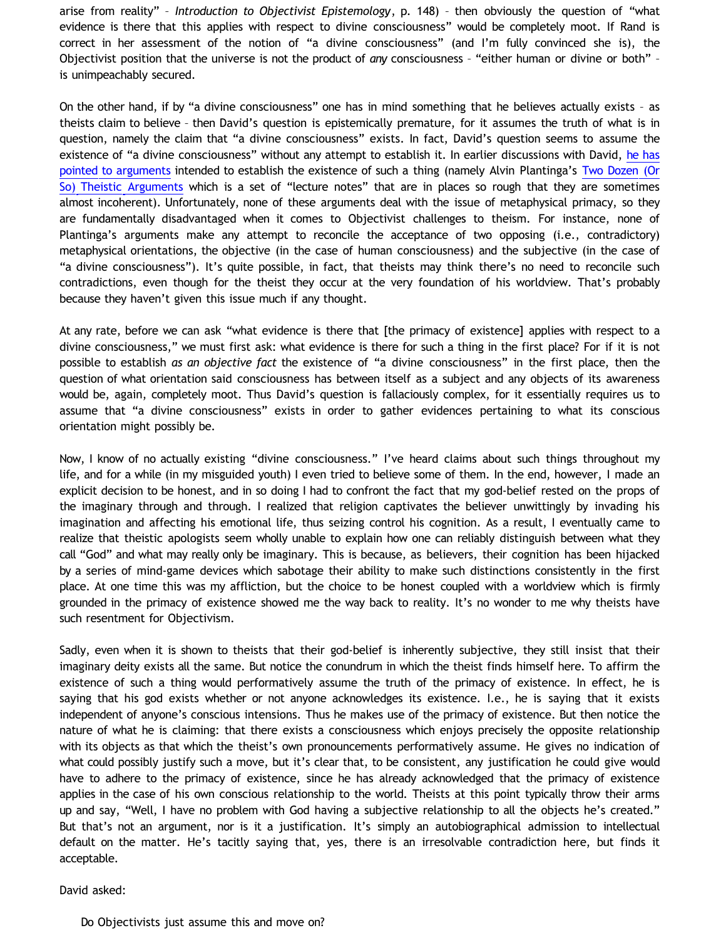arise from reality" – *Introduction to Objectivist Epistemology*, p. 148) – then obviously the question of "what evidence is there that this applies with respect to divine consciousness" would be completely moot. If Rand is correct in her assessment of the notion of "a divine consciousness" (and I'm fully convinced she is), the Objectivist position that the universe is not the product of *any* consciousness – "either human or divine or both" – is unimpeachably secured.

On the other hand, if by "a divine consciousness" one has in mind something that he believes actually exists – as theists claim to believe – then David's question is epistemically premature, for it assumes the truth of what is in question, namely the claim that "a divine consciousness" exists. In fact, David's question seems to assume the existence of "a divine consciousness" without any attempt to establish it. In earlier discussions with David, [he has](http://bahnsenburner.blogspot.com/2008/09/another-response-to-david-part-7.html) [pointed to arguments](http://bahnsenburner.blogspot.com/2008/09/another-response-to-david-part-7.html) intended to establish the existence of such a thing (namely Alvin Plantinga's [Two Dozen \(Or](http://philofreligion.homestead.com/files/theisticarguments.html) [So\) Theistic Arguments](http://philofreligion.homestead.com/files/theisticarguments.html) which is a set of "lecture notes" that are in places so rough that they are sometimes almost incoherent). Unfortunately, none of these arguments deal with the issue of metaphysical primacy, so they are fundamentally disadvantaged when it comes to Objectivist challenges to theism. For instance, none of Plantinga's arguments make any attempt to reconcile the acceptance of two opposing (i.e., contradictory) metaphysical orientations, the objective (in the case of human consciousness) and the subjective (in the case of "a divine consciousness"). It's quite possible, in fact, that theists may think there's no need to reconcile such contradictions, even though for the theist they occur at the very foundation of his worldview. That's probably because they haven't given this issue much if any thought.

At any rate, before we can ask "what evidence is there that [the primacy of existence] applies with respect to a divine consciousness," we must first ask: what evidence is there for such a thing in the first place? For if it is not possible to establish *as an objective fact* the existence of "a divine consciousness" in the first place, then the question of what orientation said consciousness has between itself as a subject and any objects of its awareness would be, again, completely moot. Thus David's question is fallaciously complex, for it essentially requires us to assume that "a divine consciousness" exists in order to gather evidences pertaining to what its conscious orientation might possibly be.

Now, I know of no actually existing "divine consciousness." I've heard claims about such things throughout my life, and for a while (in my misguided youth) I even tried to believe some of them. In the end, however, I made an explicit decision to be honest, and in so doing I had to confront the fact that my god-belief rested on the props of the imaginary through and through. I realized that religion captivates the believer unwittingly by invading his imagination and affecting his emotional life, thus seizing control his cognition. As a result, I eventually came to realize that theistic apologists seem wholly unable to explain how one can reliably distinguish between what they call "God" and what may really only be imaginary. This is because, as believers, their cognition has been hijacked by a series of mind-game devices which sabotage their ability to make such distinctions consistently in the first place. At one time this was my affliction, but the choice to be honest coupled with a worldview which is firmly grounded in the primacy of existence showed me the way back to reality. It's no wonder to me why theists have such resentment for Objectivism.

Sadly, even when it is shown to theists that their god-belief is inherently subjective, they still insist that their imaginary deity exists all the same. But notice the conundrum in which the theist finds himself here. To affirm the existence of such a thing would performatively assume the truth of the primacy of existence. In effect, he is saying that his god exists whether or not anyone acknowledges its existence. I.e., he is saying that it exists independent of anyone's conscious intensions. Thus he makes use of the primacy of existence. But then notice the nature of what he is claiming: that there exists a consciousness which enjoys precisely the opposite relationship with its objects as that which the theist's own pronouncements performatively assume. He gives no indication of what could possibly justify such a move, but it's clear that, to be consistent, any justification he could give would have to adhere to the primacy of existence, since he has already acknowledged that the primacy of existence applies in the case of his own conscious relationship to the world. Theists at this point typically throw their arms up and say, "Well, I have no problem with God having a subjective relationship to all the objects he's created." But that's not an argument, nor is it a justification. It's simply an autobiographical admission to intellectual default on the matter. He's tacitly saying that, yes, there is an irresolvable contradiction here, but finds it acceptable.

#### David asked:

#### Do Objectivists just assume this and move on?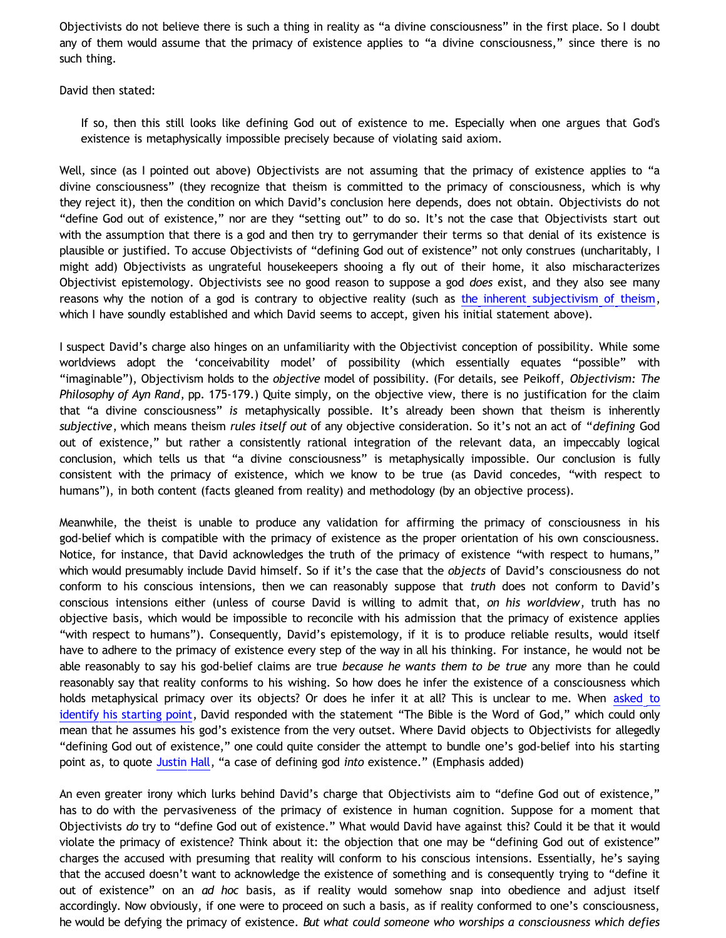Objectivists do not believe there is such a thing in reality as "a divine consciousness" in the first place. So I doubt any of them would assume that the primacy of existence applies to "a divine consciousness," since there is no such thing.

David then stated:

If so, then this still looks like defining God out of existence to me. Especially when one argues that God's existence is metaphysically impossible precisely because of violating said axiom.

Well, since (as I pointed out above) Objectivists are not assuming that the primacy of existence applies to "a divine consciousness" (they recognize that theism is committed to the primacy of consciousness, which is why they reject it), then the condition on which David's conclusion here depends, does not obtain. Objectivists do not "define God out of existence," nor are they "setting out" to do so. It's not the case that Objectivists start out with the assumption that there is a god and then try to gerrymander their terms so that denial of its existence is plausible or justified. To accuse Objectivists of "defining God out of existence" not only construes (uncharitably, I might add) Objectivists as ungrateful housekeepers shooing a fly out of their home, it also mischaracterizes Objectivist epistemology. Objectivists see no good reason to suppose a god *does* exist, and they also see many reasons why the notion of a god is contrary to objective reality (such as [the inherent subjectivism of theism,](http://bahnsenburner.blogspot.com/2008/12/inherent-subjectivism-of-god-belief.html) which I have soundly established and which David seems to accept, given his initial statement above).

I suspect David's charge also hinges on an unfamiliarity with the Objectivist conception of possibility. While some worldviews adopt the 'conceivability model' of possibility (which essentially equates "possible" with "imaginable"), Objectivism holds to the *objective* model of possibility. (For details, see Peikoff, *Objectivism: The Philosophy of Ayn Rand*, pp. 175-179.) Quite simply, on the objective view, there is no justification for the claim that "a divine consciousness" *is* metaphysically possible. It's already been shown that theism is inherently *subjective*, which means theism *rules itself out* of any objective consideration. So it's not an act of "*defining* God out of existence," but rather a consistently rational integration of the relevant data, an impeccably logical conclusion, which tells us that "a divine consciousness" is metaphysically impossible. Our conclusion is fully consistent with the primacy of existence, which we know to be true (as David concedes, "with respect to humans"), in both content (facts gleaned from reality) and methodology (by an objective process).

Meanwhile, the theist is unable to produce any validation for affirming the primacy of consciousness in his god-belief which is compatible with the primacy of existence as the proper orientation of his own consciousness. Notice, for instance, that David acknowledges the truth of the primacy of existence "with respect to humans," which would presumably include David himself. So if it's the case that the *objects* of David's consciousness do not conform to his conscious intensions, then we can reasonably suppose that *truth* does not conform to David's conscious intensions either (unless of course David is willing to admit that, *on his worldview*, truth has no objective basis, which would be impossible to reconcile with his admission that the primacy of existence applies "with respect to humans"). Consequently, David's epistemology, if it is to produce reliable results, would itself have to adhere to the primacy of existence every step of the way in all his thinking. For instance, he would not be able reasonably to say his god-belief claims are true *because he wants them to be true* any more than he could reasonably say that reality conforms to his wishing. So how does he infer the existence of a consciousness which holds metaphysical primacy over its objects? Or does he infer it at all? This is unclear to me. When [asked to](http://bahnsenburner.blogspot.com/2008/09/another-response-to-david-part-6-signs.html) [identify his starting point,](http://bahnsenburner.blogspot.com/2008/09/another-response-to-david-part-6-signs.html) David responded with the statement "The Bible is the Word of God," which could only mean that he assumes his god's existence from the very outset. Where David objects to Objectivists for allegedly "defining God out of existence," one could quite consider the attempt to bundle one's god-belief into his starting point as, to quote [Justin Hall,](http://bahnsenburner.blogspot.com/2008/12/inherent-subjectivism-of-god-belief.html) "a case of defining god *into* existence." (Emphasis added)

An even greater irony which lurks behind David's charge that Objectivists aim to "define God out of existence," has to do with the pervasiveness of the primacy of existence in human cognition. Suppose for a moment that Objectivists *do* try to "define God out of existence." What would David have against this? Could it be that it would violate the primacy of existence? Think about it: the objection that one may be "defining God out of existence" charges the accused with presuming that reality will conform to his conscious intensions. Essentially, he's saying that the accused doesn't want to acknowledge the existence of something and is consequently trying to "define it out of existence" on an *ad hoc* basis, as if reality would somehow snap into obedience and adjust itself accordingly. Now obviously, if one were to proceed on such a basis, as if reality conformed to one's consciousness, he would be defying the primacy of existence. *But what could someone who worships a consciousness which defies*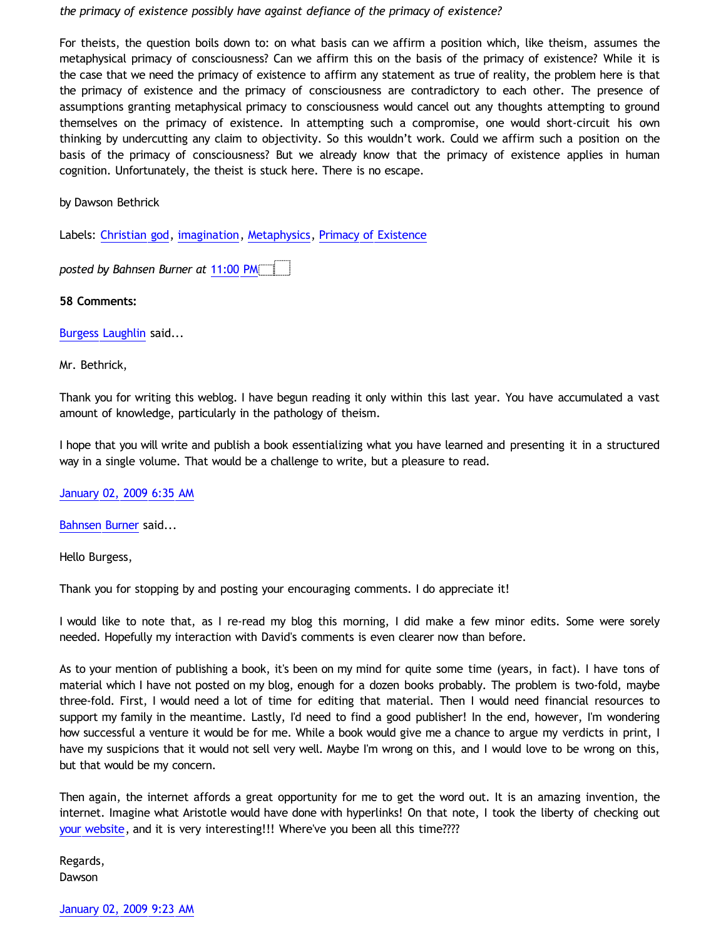### *the primacy of existence possibly have against defiance of the primacy of existence?*

For theists, the question boils down to: on what basis can we affirm a position which, like theism, assumes the metaphysical primacy of consciousness? Can we affirm this on the basis of the primacy of existence? While it is the case that we need the primacy of existence to affirm any statement as true of reality, the problem here is that the primacy of existence and the primacy of consciousness are contradictory to each other. The presence of assumptions granting metaphysical primacy to consciousness would cancel out any thoughts attempting to ground themselves on the primacy of existence. In attempting such a compromise, one would short-circuit his own thinking by undercutting any claim to objectivity. So this wouldn't work. Could we affirm such a position on the basis of the primacy of consciousness? But we already know that the primacy of existence applies in human cognition. Unfortunately, the theist is stuck here. There is no escape.

by Dawson Bethrick

Labels: [Christian god](http://bahnsenburner.blogspot.com/search/label/Christian%20god), [imagination](http://bahnsenburner.blogspot.com/search/label/imagination), [Metaphysics](http://bahnsenburner.blogspot.com/search/label/Metaphysics), [Primacy of Existence](http://bahnsenburner.blogspot.com/search/label/Primacy%20of%20Existence)

*posted by Bahnsen Burner at* [11:00 PM](http://bahnsenburner.blogspot.com/2009/01/do-objectivists-try-to-define-god-out.html)

**58 Comments:**

[Burgess Laughlin](http://www.blogger.com/profile/13865479709475171678) said...

Mr. Bethrick,

Thank you for writing this weblog. I have begun reading it only within this last year. You have accumulated a vast amount of knowledge, particularly in the pathology of theism.

I hope that you will write and publish a book essentializing what you have learned and presenting it in a structured way in a single volume. That would be a challenge to write, but a pleasure to read.

[January 02, 2009 6:35 AM](http://bahnsenburner.blogspot.com/2009/01/#1164043037014130013)

[Bahnsen Burner](http://www.blogger.com/profile/11030029491768748360) said...

Hello Burgess,

Thank you for stopping by and posting your encouraging comments. I do appreciate it!

I would like to note that, as I re-read my blog this morning, I did make a few minor edits. Some were sorely needed. Hopefully my interaction with David's comments is even clearer now than before.

As to your mention of publishing a book, it's been on my mind for quite some time (years, in fact). I have tons of material which I have not posted on my blog, enough for a dozen books probably. The problem is two-fold, maybe three-fold. First, I would need a lot of time for editing that material. Then I would need financial resources to support my family in the meantime. Lastly, I'd need to find a good publisher! In the end, however, I'm wondering how successful a venture it would be for me. While a book would give me a chance to argue my verdicts in print, I have my suspicions that it would not sell very well. Maybe I'm wrong on this, and I would love to be wrong on this, but that would be my concern.

Then again, the internet affords a great opportunity for me to get the word out. It is an amazing invention, the internet. Imagine what Aristotle would have done with hyperlinks! On that note, I took the liberty of checking out [your website,](http://www.aristotleadventure.blogspot.com/) and it is very interesting!!! Where've you been all this time????

Regards, Dawson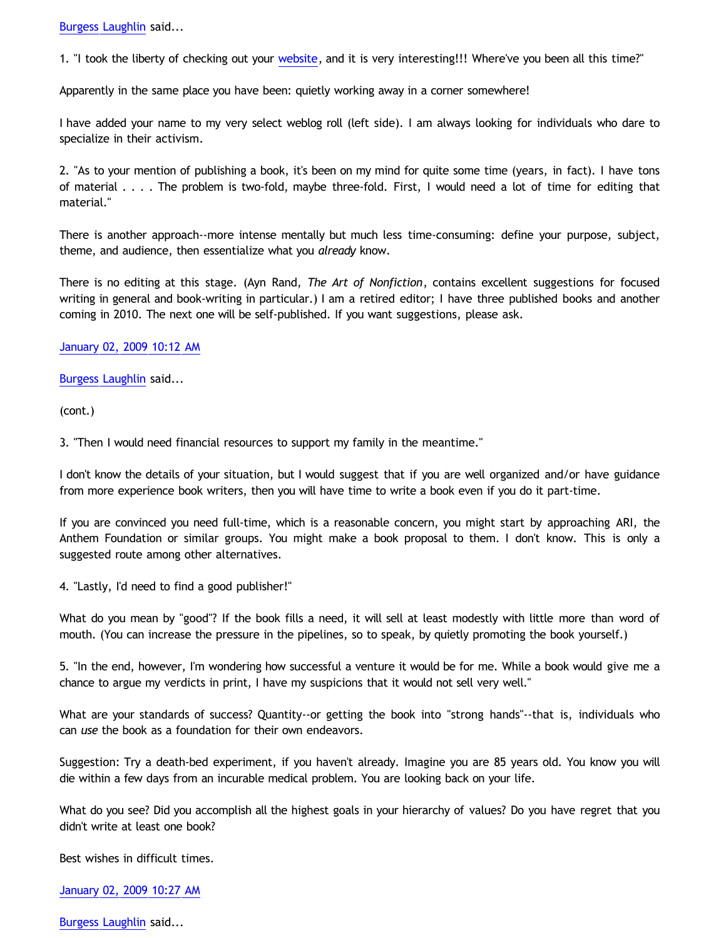[Burgess Laughlin](http://www.blogger.com/profile/13865479709475171678) said...

1. "I took the liberty of checking out your [website](http://www.aristotleadventure.blogspot.com/), and it is very interesting!!! Where've you been all this time?"

Apparently in the same place you have been: quietly working away in a corner somewhere!

I have added your name to my very select weblog roll (left side). I am always looking for individuals who dare to specialize in their activism.

2. "As to your mention of publishing a book, it's been on my mind for quite some time (years, in fact). I have tons of material . . . . The problem is two-fold, maybe three-fold. First, I would need a lot of time for editing that material."

There is another approach--more intense mentally but much less time-consuming: define your purpose, subject, theme, and audience, then essentialize what you *already* know.

There is no editing at this stage. (Ayn Rand, *The Art of Nonfiction*, contains excellent suggestions for focused writing in general and book-writing in particular.) I am a retired editor; I have three published books and another coming in 2010. The next one will be self-published. If you want suggestions, please ask.

[January 02, 2009 10:12 AM](http://bahnsenburner.blogspot.com/2009/01/#261660386097272112)

[Burgess Laughlin](http://www.blogger.com/profile/13865479709475171678) said...

(cont.)

3. "Then I would need financial resources to support my family in the meantime."

I don't know the details of your situation, but I would suggest that if you are well organized and/or have guidance from more experience book writers, then you will have time to write a book even if you do it part-time.

If you are convinced you need full-time, which is a reasonable concern, you might start by approaching ARI, the Anthem Foundation or similar groups. You might make a book proposal to them. I don't know. This is only a suggested route among other alternatives.

4. "Lastly, I'd need to find a good publisher!"

What do you mean by "good"? If the book fills a need, it will sell at least modestly with little more than word of mouth. (You can increase the pressure in the pipelines, so to speak, by quietly promoting the book yourself.)

5. "In the end, however, I'm wondering how successful a venture it would be for me. While a book would give me a chance to argue my verdicts in print, I have my suspicions that it would not sell very well."

What are your standards of success? Quantity--or getting the book into "strong hands"--that is, individuals who can *use* the book as a foundation for their own endeavors.

Suggestion: Try a death-bed experiment, if you haven't already. Imagine you are 85 years old. You know you will die within a few days from an incurable medical problem. You are looking back on your life.

What do you see? Did you accomplish all the highest goals in your hierarchy of values? Do you have regret that you didn't write at least one book?

Best wishes in difficult times.

[January 02, 2009 10:27 AM](http://bahnsenburner.blogspot.com/2009/01/#8473534174089812133)

[Burgess Laughlin](http://www.blogger.com/profile/13865479709475171678) said...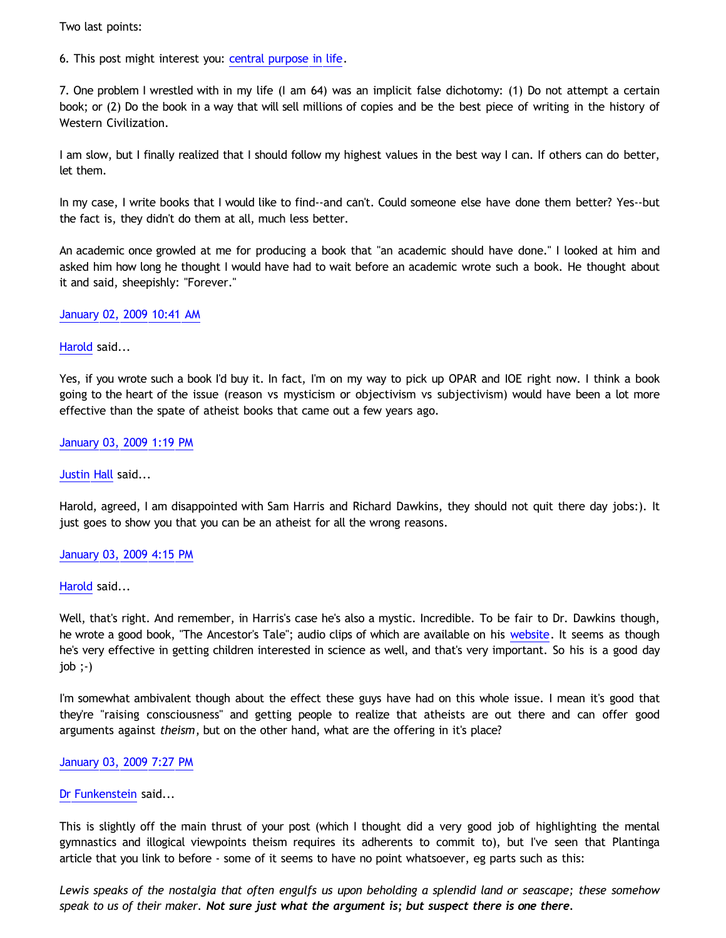Two last points:

6. This post might interest you: [central purpose in life.](http://aristotleadventure.blogspot.com/2008/05/what-is-central-purpose-in-life.html)

7. One problem I wrestled with in my life (I am 64) was an implicit false dichotomy: (1) Do not attempt a certain book; or (2) Do the book in a way that will sell millions of copies and be the best piece of writing in the history of Western Civilization.

I am slow, but I finally realized that I should follow my highest values in the best way I can. If others can do better, let them.

In my case, I write books that I would like to find--and can't. Could someone else have done them better? Yes--but the fact is, they didn't do them at all, much less better.

An academic once growled at me for producing a book that "an academic should have done." I looked at him and asked him how long he thought I would have had to wait before an academic wrote such a book. He thought about it and said, sheepishly: "Forever."

### [January 02, 2009 10:41 AM](http://bahnsenburner.blogspot.com/2009/01/#4429631658085099225)

### [Harold](http://www.blogger.com/profile/10897769844874861468) said...

Yes, if you wrote such a book I'd buy it. In fact, I'm on my way to pick up OPAR and IOE right now. I think a book going to the heart of the issue (reason vs mysticism or objectivism vs subjectivism) would have been a lot more effective than the spate of atheist books that came out a few years ago.

### [January 03, 2009 1:19 PM](http://bahnsenburner.blogspot.com/2009/01/#5838710291613881102)

[Justin Hall](http://www.blogger.com/profile/17804641315202800289) said...

Harold, agreed, I am disappointed with Sam Harris and Richard Dawkins, they should not quit there day jobs:). It just goes to show you that you can be an atheist for all the wrong reasons.

### [January 03, 2009 4:15 PM](http://bahnsenburner.blogspot.com/2009/01/#4324130761231568451)

[Harold](http://www.blogger.com/profile/10897769844874861468) said...

Well, that's right. And remember, in Harris's case he's also a mystic. Incredible. To be fair to Dr. Dawkins though, he wrote a good book, "The Ancestor's Tale"; audio clips of which are available on his [website](http://richarddawkins.net/article,3351,The-Sea-Turtles-Tale-Back-to-the-sea-and-back-again-to-the-land,Richard-Dawkins). It seems as though he's very effective in getting children interested in science as well, and that's very important. So his is a good day job ;-)

I'm somewhat ambivalent though about the effect these guys have had on this whole issue. I mean it's good that they're "raising consciousness" and getting people to realize that atheists are out there and can offer good arguments against *theism*, but on the other hand, what are the offering in it's place?

### [January 03, 2009 7:27 PM](http://bahnsenburner.blogspot.com/2009/01/#7674648031087197843)

# [Dr Funkenstein](http://www.blogger.com/profile/03620894198842461714) said...

This is slightly off the main thrust of your post (which I thought did a very good job of highlighting the mental gymnastics and illogical viewpoints theism requires its adherents to commit to), but I've seen that Plantinga article that you link to before - some of it seems to have no point whatsoever, eg parts such as this:

*Lewis speaks of the nostalgia that often engulfs us upon beholding a splendid land or seascape; these somehow speak to us of their maker. Not sure just what the argument is; but suspect there is one there.*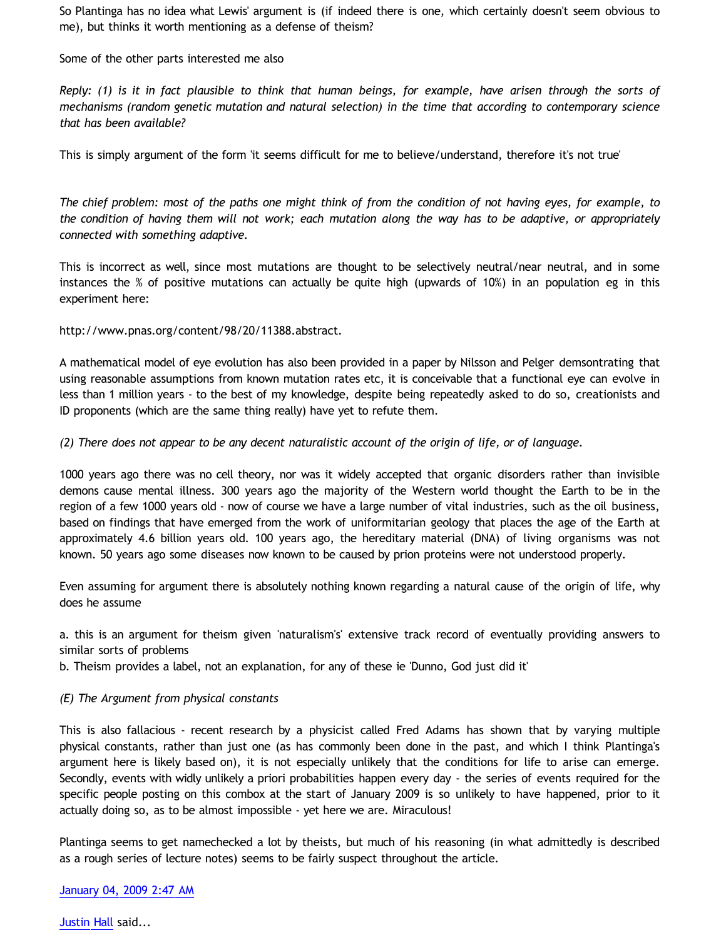So Plantinga has no idea what Lewis' argument is (if indeed there is one, which certainly doesn't seem obvious to me), but thinks it worth mentioning as a defense of theism?

Some of the other parts interested me also

*Reply: (1) is it in fact plausible to think that human beings, for example, have arisen through the sorts of mechanisms (random genetic mutation and natural selection) in the time that according to contemporary science that has been available?*

This is simply argument of the form 'it seems difficult for me to believe/understand, therefore it's not true'

*The chief problem: most of the paths one might think of from the condition of not having eyes, for example, to the condition of having them will not work; each mutation along the way has to be adaptive, or appropriately connected with something adaptive.*

This is incorrect as well, since most mutations are thought to be selectively neutral/near neutral, and in some instances the % of positive mutations can actually be quite high (upwards of 10%) in an population eg in this experiment here:

<http://www.pnas.org/content/98/20/11388.abstract.>

A mathematical model of eye evolution has also been provided in a paper by Nilsson and Pelger demsontrating that using reasonable assumptions from known mutation rates etc, it is conceivable that a functional eye can evolve in less than 1 million years - to the best of my knowledge, despite being repeatedly asked to do so, creationists and ID proponents (which are the same thing really) have yet to refute them.

*(2) There does not appear to be any decent naturalistic account of the origin of life, or of language.*

1000 years ago there was no cell theory, nor was it widely accepted that organic disorders rather than invisible demons cause mental illness. 300 years ago the majority of the Western world thought the Earth to be in the region of a few 1000 years old - now of course we have a large number of vital industries, such as the oil business, based on findings that have emerged from the work of uniformitarian geology that places the age of the Earth at approximately 4.6 billion years old. 100 years ago, the hereditary material (DNA) of living organisms was not known. 50 years ago some diseases now known to be caused by prion proteins were not understood properly.

Even assuming for argument there is absolutely nothing known regarding a natural cause of the origin of life, why does he assume

a. this is an argument for theism given 'naturalism's' extensive track record of eventually providing answers to similar sorts of problems

b. Theism provides a label, not an explanation, for any of these ie 'Dunno, God just did it'

### *(E) The Argument from physical constants*

This is also fallacious - recent research by a physicist called Fred Adams has shown that by varying multiple physical constants, rather than just one (as has commonly been done in the past, and which I think Plantinga's argument here is likely based on), it is not especially unlikely that the conditions for life to arise can emerge. Secondly, events with widly unlikely a priori probabilities happen every day - the series of events required for the specific people posting on this combox at the start of January 2009 is so unlikely to have happened, prior to it actually doing so, as to be almost impossible - yet here we are. Miraculous!

Plantinga seems to get namechecked a lot by theists, but much of his reasoning (in what admittedly is described as a rough series of lecture notes) seems to be fairly suspect throughout the article.

### [January 04, 2009 2:47 AM](http://bahnsenburner.blogspot.com/2009/01/#5886203504826335952)

[Justin Hall](http://www.blogger.com/profile/17804641315202800289) said...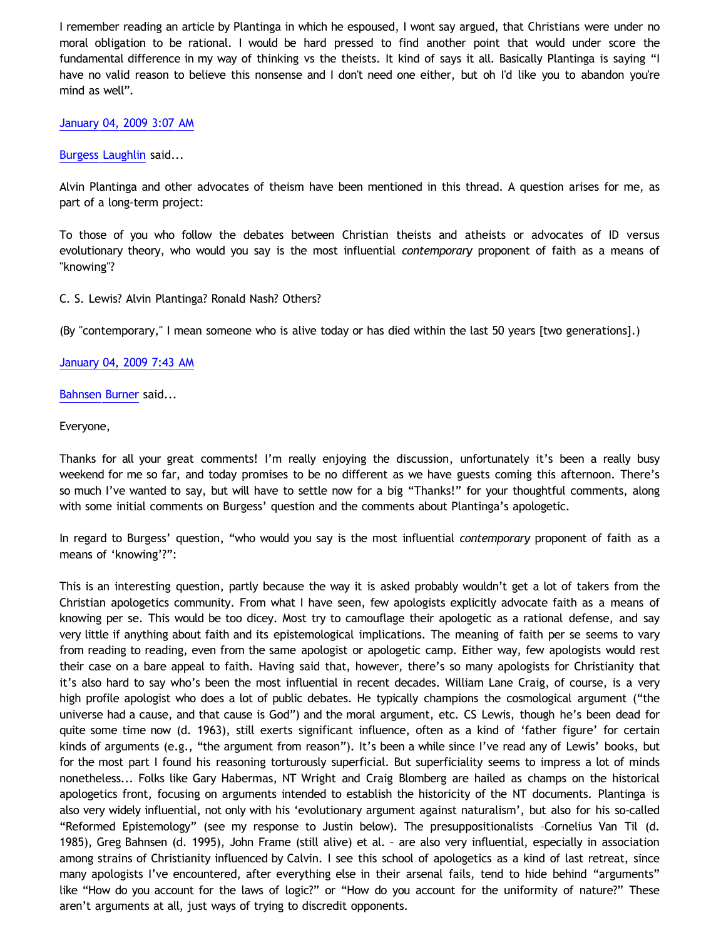I remember reading an article by Plantinga in which he espoused, I wont say argued, that Christians were under no moral obligation to be rational. I would be hard pressed to find another point that would under score the fundamental difference in my way of thinking vs the theists. It kind of says it all. Basically Plantinga is saying "I have no valid reason to believe this nonsense and I don't need one either, but oh I'd like you to abandon you're mind as well".

### [January 04, 2009 3:07 AM](http://bahnsenburner.blogspot.com/2009/01/#3806519589042230945)

### [Burgess Laughlin](http://www.blogger.com/profile/13865479709475171678) said...

Alvin Plantinga and other advocates of theism have been mentioned in this thread. A question arises for me, as part of a long-term project:

To those of you who follow the debates between Christian theists and atheists or advocates of ID versus evolutionary theory, who would you say is the most influential *contemporary* proponent of faith as a means of "knowing"?

### C. S. Lewis? Alvin Plantinga? Ronald Nash? Others?

(By "contemporary," I mean someone who is alive today or has died within the last 50 years [two generations].)

### [January 04, 2009 7:43 AM](http://bahnsenburner.blogspot.com/2009/01/#7774127381614156413)

### [Bahnsen Burner](http://www.blogger.com/profile/11030029491768748360) said...

### Everyone,

Thanks for all your great comments! I'm really enjoying the discussion, unfortunately it's been a really busy weekend for me so far, and today promises to be no different as we have guests coming this afternoon. There's so much I've wanted to say, but will have to settle now for a big "Thanks!" for your thoughtful comments, along with some initial comments on Burgess' question and the comments about Plantinga's apologetic.

In regard to Burgess' question, "who would you say is the most influential *contemporary* proponent of faith as a means of 'knowing'?":

This is an interesting question, partly because the way it is asked probably wouldn't get a lot of takers from the Christian apologetics community. From what I have seen, few apologists explicitly advocate faith as a means of knowing per se. This would be too dicey. Most try to camouflage their apologetic as a rational defense, and say very little if anything about faith and its epistemological implications. The meaning of faith per se seems to vary from reading to reading, even from the same apologist or apologetic camp. Either way, few apologists would rest their case on a bare appeal to faith. Having said that, however, there's so many apologists for Christianity that it's also hard to say who's been the most influential in recent decades. William Lane Craig, of course, is a very high profile apologist who does a lot of public debates. He typically champions the cosmological argument ("the universe had a cause, and that cause is God") and the moral argument, etc. CS Lewis, though he's been dead for quite some time now (d. 1963), still exerts significant influence, often as a kind of 'father figure' for certain kinds of arguments (e.g., "the argument from reason"). It's been a while since I've read any of Lewis' books, but for the most part I found his reasoning torturously superficial. But superficiality seems to impress a lot of minds nonetheless... Folks like Gary Habermas, NT Wright and Craig Blomberg are hailed as champs on the historical apologetics front, focusing on arguments intended to establish the historicity of the NT documents. Plantinga is also very widely influential, not only with his 'evolutionary argument against naturalism', but also for his so-called "Reformed Epistemology" (see my response to Justin below). The presuppositionalists –Cornelius Van Til (d. 1985), Greg Bahnsen (d. 1995), John Frame (still alive) et al. – are also very influential, especially in association among strains of Christianity influenced by Calvin. I see this school of apologetics as a kind of last retreat, since many apologists I've encountered, after everything else in their arsenal fails, tend to hide behind "arguments" like "How do you account for the laws of logic?" or "How do you account for the uniformity of nature?" These aren't arguments at all, just ways of trying to discredit opponents.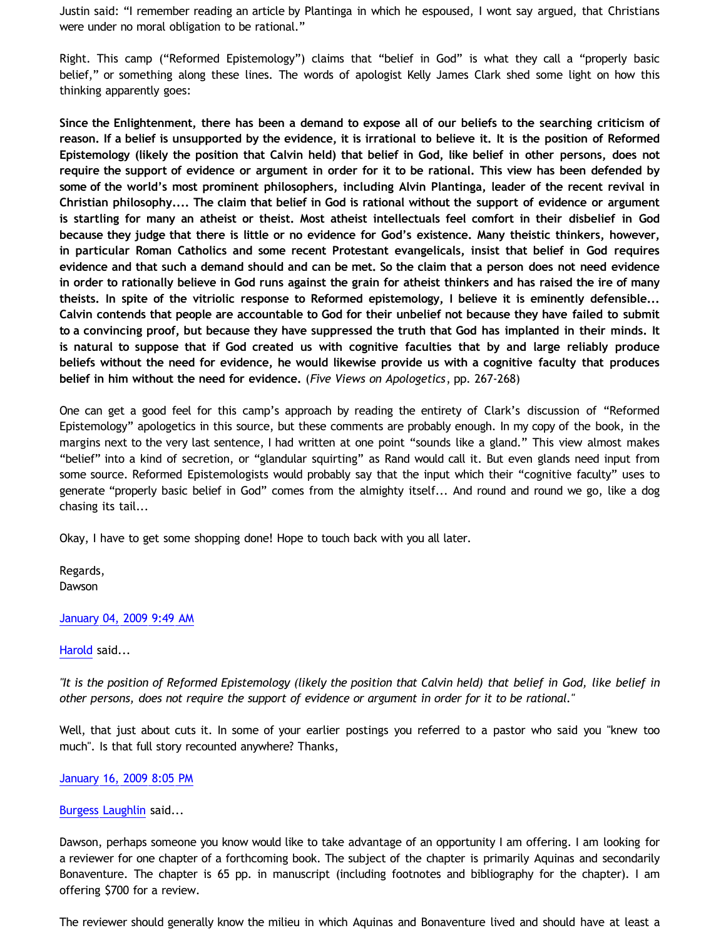Justin said: "I remember reading an article by Plantinga in which he espoused, I wont say argued, that Christians were under no moral obligation to be rational."

Right. This camp ("Reformed Epistemology") claims that "belief in God" is what they call a "properly basic belief," or something along these lines. The words of apologist Kelly James Clark shed some light on how this thinking apparently goes:

**Since the Enlightenment, there has been a demand to expose all of our beliefs to the searching criticism of reason. If a belief is unsupported by the evidence, it is irrational to believe it. It is the position of Reformed Epistemology (likely the position that Calvin held) that belief in God, like belief in other persons, does not require the support of evidence or argument in order for it to be rational. This view has been defended by some of the world's most prominent philosophers, including Alvin Plantinga, leader of the recent revival in Christian philosophy.... The claim that belief in God is rational without the support of evidence or argument is startling for many an atheist or theist. Most atheist intellectuals feel comfort in their disbelief in God because they judge that there is little or no evidence for God's existence. Many theistic thinkers, however, in particular Roman Catholics and some recent Protestant evangelicals, insist that belief in God requires evidence and that such a demand should and can be met. So the claim that a person does not need evidence in order to rationally believe in God runs against the grain for atheist thinkers and has raised the ire of many theists. In spite of the vitriolic response to Reformed epistemology, I believe it is eminently defensible... Calvin contends that people are accountable to God for their unbelief not because they have failed to submit to a convincing proof, but because they have suppressed the truth that God has implanted in their minds. It is natural to suppose that if God created us with cognitive faculties that by and large reliably produce beliefs without the need for evidence, he would likewise provide us with a cognitive faculty that produces belief in him without the need for evidence.** (*Five Views on Apologetics*, pp. 267-268)

One can get a good feel for this camp's approach by reading the entirety of Clark's discussion of "Reformed Epistemology" apologetics in this source, but these comments are probably enough. In my copy of the book, in the margins next to the very last sentence, I had written at one point "sounds like a gland." This view almost makes "belief" into a kind of secretion, or "glandular squirting" as Rand would call it. But even glands need input from some source. Reformed Epistemologists would probably say that the input which their "cognitive faculty" uses to generate "properly basic belief in God" comes from the almighty itself... And round and round we go, like a dog chasing its tail...

Okay, I have to get some shopping done! Hope to touch back with you all later.

Regards, Dawson

### [January 04, 2009 9:49 AM](http://bahnsenburner.blogspot.com/2009/01/#6808365722402547568)

### [Harold](http://www.blogger.com/profile/10897769844874861468) said...

*"It is the position of Reformed Epistemology (likely the position that Calvin held) that belief in God, like belief in other persons, does not require the support of evidence or argument in order for it to be rational."*

Well, that just about cuts it. In some of your earlier postings you referred to a pastor who said you "knew too much". Is that full story recounted anywhere? Thanks,

### [January 16, 2009 8:05 PM](http://bahnsenburner.blogspot.com/2009/01/#1089033417303703354)

#### [Burgess Laughlin](http://www.blogger.com/profile/13865479709475171678) said...

Dawson, perhaps someone you know would like to take advantage of an opportunity I am offering. I am looking for a reviewer for one chapter of a forthcoming book. The subject of the chapter is primarily Aquinas and secondarily Bonaventure. The chapter is 65 pp. in manuscript (including footnotes and bibliography for the chapter). I am offering \$700 for a review.

The reviewer should generally know the milieu in which Aquinas and Bonaventure lived and should have at least a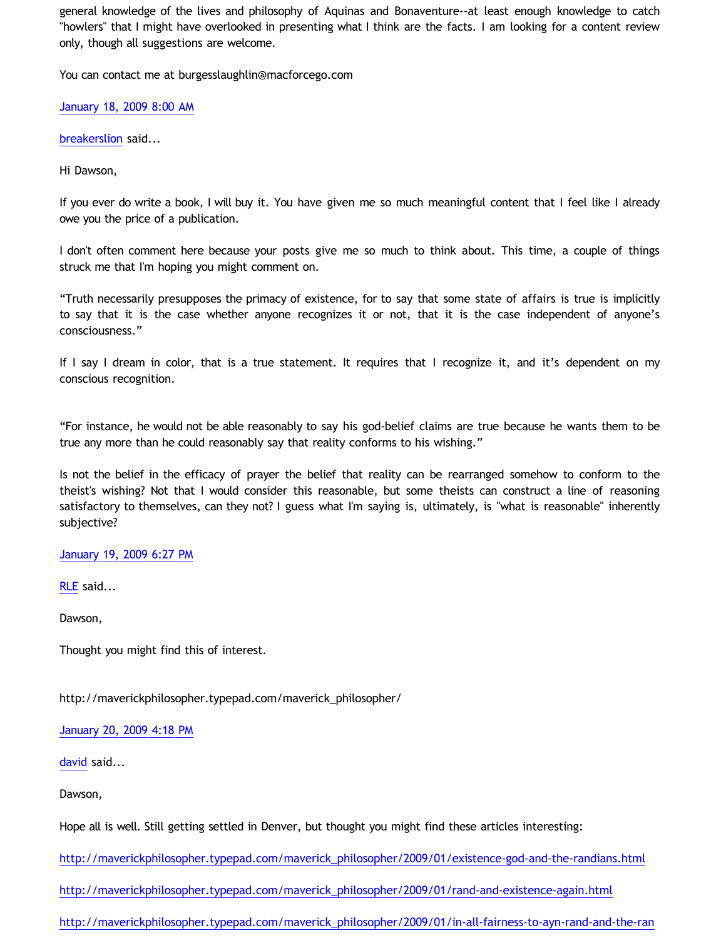general knowledge of the lives and philosophy of Aquinas and Bonaventure--at least enough knowledge to catch "howlers" that I might have overlooked in presenting what I think are the facts. I am looking for a content review only, though all suggestions are welcome.

You can contact me at burgesslaughlin@macforcego.com

[January 18, 2009 8:00 AM](http://bahnsenburner.blogspot.com/2009/01/#4983985147378124010)

[breakerslion](http://www.blogger.com/profile/14327290369084118043) said...

Hi Dawson,

If you ever do write a book, I will buy it. You have given me so much meaningful content that I feel like I already owe you the price of a publication.

I don't often comment here because your posts give me so much to think about. This time, a couple of things struck me that I'm hoping you might comment on.

"Truth necessarily presupposes the primacy of existence, for to say that some state of affairs is true is implicitly to say that it is the case whether anyone recognizes it or not, that it is the case independent of anyone's consciousness."

If I say I dream in color, that is a true statement. It requires that I recognize it, and it's dependent on my conscious recognition.

"For instance, he would not be able reasonably to say his god-belief claims are true because he wants them to be true any more than he could reasonably say that reality conforms to his wishing."

Is not the belief in the efficacy of prayer the belief that reality can be rearranged somehow to conform to the theist's wishing? Not that I would consider this reasonable, but some theists can construct a line of reasoning satisfactory to themselves, can they not? I guess what I'm saying is, ultimately, is "what is reasonable" inherently subjective?

### [January 19, 2009 6:27 PM](http://bahnsenburner.blogspot.com/2009/01/#8247362816685597259)

[RLE](http://www.blogger.com/profile/18138254059628731604) said...

Dawson,

Thought you might find this of interest.

[http://maverickphilosopher.typepad.com/maverick\\_philosopher/](http://maverickphilosopher.typepad.com/maverick_philosopher/)

[January 20, 2009 4:18 PM](http://bahnsenburner.blogspot.com/2009/01/#4364886435989289749)

[david](http://www.blogger.com/profile/13714637134009580948) said...

Dawson,

Hope all is well. Still getting settled in Denver, but thought you might find these articles interesting:

[http://maverickphilosopher.typepad.com/maverick\\_philosopher/2009/01/existence-god-and-the-randians.html](http://maverickphilosopher.typepad.com/maverick_philosopher/2009/01/existence-god-and-the-randians.html)

[http://maverickphilosopher.typepad.com/maverick\\_philosopher/2009/01/rand-and-existence-again.html](http://maverickphilosopher.typepad.com/maverick_philosopher/2009/01/rand-and-existence-again.html)

[http://maverickphilosopher.typepad.com/maverick\\_philosopher/2009/01/in-all-fairness-to-ayn-rand-and-the-ran](http://maverickphilosopher.typepad.com/maverick_philosopher/2009/01/in-all-fairness-to-ayn-rand-and-the-randians-.html)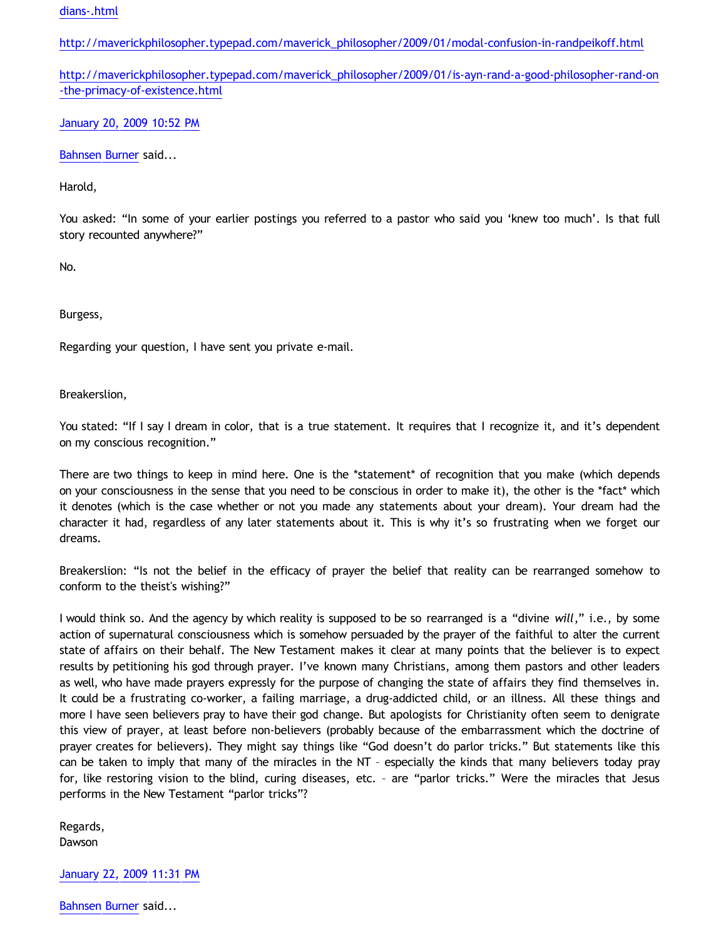[dians-.html](http://maverickphilosopher.typepad.com/maverick_philosopher/2009/01/in-all-fairness-to-ayn-rand-and-the-randians-.html)

[http://maverickphilosopher.typepad.com/maverick\\_philosopher/2009/01/modal-confusion-in-randpeikoff.html](http://maverickphilosopher.typepad.com/maverick_philosopher/2009/01/modal-confusion-in-randpeikoff.html)

[http://maverickphilosopher.typepad.com/maverick\\_philosopher/2009/01/is-ayn-rand-a-good-philosopher-rand-on](http://maverickphilosopher.typepad.com/maverick_philosopher/2009/01/is-ayn-rand-a-good-philosopher-rand-on-the-primacy-of-existence.html) [-the-primacy-of-existence.html](http://maverickphilosopher.typepad.com/maverick_philosopher/2009/01/is-ayn-rand-a-good-philosopher-rand-on-the-primacy-of-existence.html)

[January 20, 2009 10:52 PM](http://bahnsenburner.blogspot.com/2009/01/#3828672694013110412)

[Bahnsen Burner](http://www.blogger.com/profile/11030029491768748360) said...

Harold,

You asked: "In some of your earlier postings you referred to a pastor who said you 'knew too much'. Is that full story recounted anywhere?"

No.

Burgess,

Regarding your question, I have sent you private e-mail.

Breakerslion,

You stated: "If I say I dream in color, that is a true statement. It requires that I recognize it, and it's dependent on my conscious recognition."

There are two things to keep in mind here. One is the \*statement\* of recognition that you make (which depends on your consciousness in the sense that you need to be conscious in order to make it), the other is the \*fact\* which it denotes (which is the case whether or not you made any statements about your dream). Your dream had the character it had, regardless of any later statements about it. This is why it's so frustrating when we forget our dreams.

Breakerslion: "Is not the belief in the efficacy of prayer the belief that reality can be rearranged somehow to conform to the theist's wishing?"

I would think so. And the agency by which reality is supposed to be so rearranged is a "divine *will*," i.e., by some action of supernatural consciousness which is somehow persuaded by the prayer of the faithful to alter the current state of affairs on their behalf. The New Testament makes it clear at many points that the believer is to expect results by petitioning his god through prayer. I've known many Christians, among them pastors and other leaders as well, who have made prayers expressly for the purpose of changing the state of affairs they find themselves in. It could be a frustrating co-worker, a failing marriage, a drug-addicted child, or an illness. All these things and more I have seen believers pray to have their god change. But apologists for Christianity often seem to denigrate this view of prayer, at least before non-believers (probably because of the embarrassment which the doctrine of prayer creates for believers). They might say things like "God doesn't do parlor tricks." But statements like this can be taken to imply that many of the miracles in the NT – especially the kinds that many believers today pray for, like restoring vision to the blind, curing diseases, etc. – are "parlor tricks." Were the miracles that Jesus performs in the New Testament "parlor tricks"?

Regards, Dawson

[January 22, 2009 11:31 PM](http://bahnsenburner.blogspot.com/2009/01/#5253056903875081102)

[Bahnsen Burner](http://www.blogger.com/profile/11030029491768748360) said...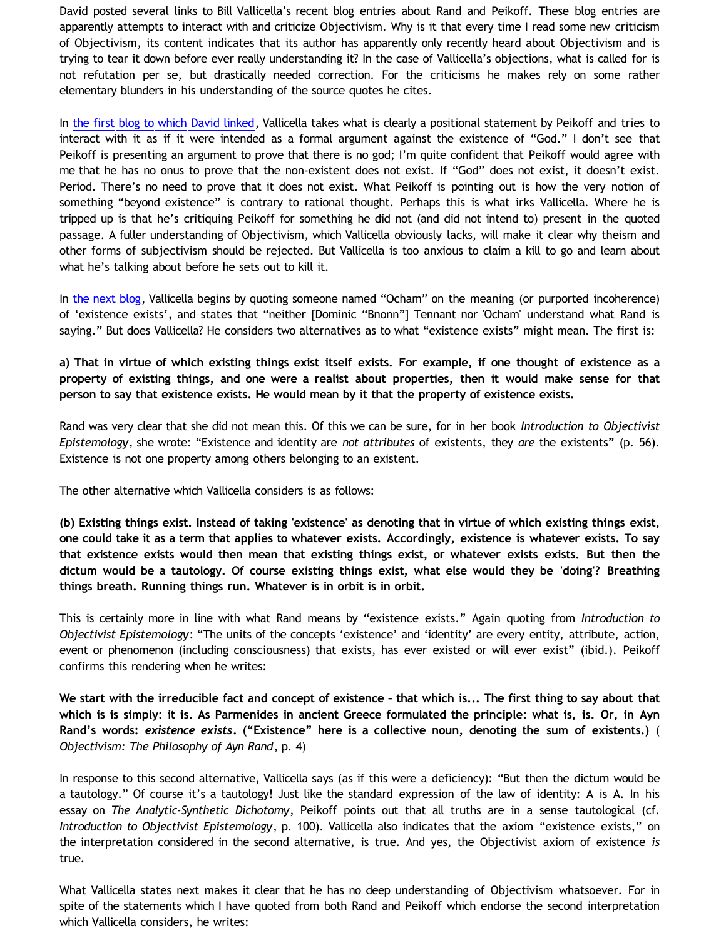David posted several links to Bill Vallicella's recent blog entries about Rand and Peikoff. These blog entries are apparently attempts to interact with and criticize Objectivism. Why is it that every time I read some new criticism of Objectivism, its content indicates that its author has apparently only recently heard about Objectivism and is trying to tear it down before ever really understanding it? In the case of Vallicella's objections, what is called for is not refutation per se, but drastically needed correction. For the criticisms he makes rely on some rather elementary blunders in his understanding of the source quotes he cites.

In [the first blog to which David linked](http://maverickphilosopher.typepad.com/maverick_philosopher/2009/01/existence-god-and-the-randians.html), Vallicella takes what is clearly a positional statement by Peikoff and tries to interact with it as if it were intended as a formal argument against the existence of "God." I don't see that Peikoff is presenting an argument to prove that there is no god; I'm quite confident that Peikoff would agree with me that he has no onus to prove that the non-existent does not exist. If "God" does not exist, it doesn't exist. Period. There's no need to prove that it does not exist. What Peikoff is pointing out is how the very notion of something "beyond existence" is contrary to rational thought. Perhaps this is what irks Vallicella. Where he is tripped up is that he's critiquing Peikoff for something he did not (and did not intend to) present in the quoted passage. A fuller understanding of Objectivism, which Vallicella obviously lacks, will make it clear why theism and other forms of subjectivism should be rejected. But Vallicella is too anxious to claim a kill to go and learn about what he's talking about before he sets out to kill it.

In [the next blog](http://maverickphilosopher.typepad.com/maverick_philosopher/2009/01/rand-and-existence-again.html), Vallicella begins by quoting someone named "Ocham" on the meaning (or purported incoherence) of 'existence exists', and states that "neither [Dominic "Bnonn"] Tennant nor 'Ocham' understand what Rand is saying." But does Vallicella? He considers two alternatives as to what "existence exists" might mean. The first is:

**a) That in virtue of which existing things exist itself exists. For example, if one thought of existence as a property of existing things, and one were a realist about properties, then it would make sense for that person to say that existence exists. He would mean by it that the property of existence exists.**

Rand was very clear that she did not mean this. Of this we can be sure, for in her book *Introduction to Objectivist Epistemology*, she wrote: "Existence and identity are *not attributes* of existents, they *are* the existents" (p. 56). Existence is not one property among others belonging to an existent.

The other alternative which Vallicella considers is as follows:

**(b) Existing things exist. Instead of taking 'existence' as denoting that in virtue of which existing things exist, one could take it as a term that applies to whatever exists. Accordingly, existence is whatever exists. To say that existence exists would then mean that existing things exist, or whatever exists exists. But then the dictum would be a tautology. Of course existing things exist, what else would they be 'doing'? Breathing things breath. Running things run. Whatever is in orbit is in orbit.**

This is certainly more in line with what Rand means by "existence exists." Again quoting from *Introduction to Objectivist Epistemology*: "The units of the concepts 'existence' and 'identity' are every entity, attribute, action, event or phenomenon (including consciousness) that exists, has ever existed or will ever exist" (ibid.). Peikoff confirms this rendering when he writes:

**We start with the irreducible fact and concept of existence – that which is... The first thing to say about that which is is simply: it is. As Parmenides in ancient Greece formulated the principle: what is, is. Or, in Ayn Rand's words:** *existence exists***. ("Existence" here is a collective noun, denoting the sum of existents.)** ( *Objectivism: The Philosophy of Ayn Rand*, p. 4)

In response to this second alternative, Vallicella says (as if this were a deficiency): "But then the dictum would be a tautology." Of course it's a tautology! Just like the standard expression of the law of identity: A is A. In his essay on *The Analytic-Synthetic Dichotomy*, Peikoff points out that all truths are in a sense tautological (cf. *Introduction to Objectivist Epistemology*, p. 100). Vallicella also indicates that the axiom "existence exists," on the interpretation considered in the second alternative, is true. And yes, the Objectivist axiom of existence *is* true.

What Vallicella states next makes it clear that he has no deep understanding of Objectivism whatsoever. For in spite of the statements which I have quoted from both Rand and Peikoff which endorse the second interpretation which Vallicella considers, he writes: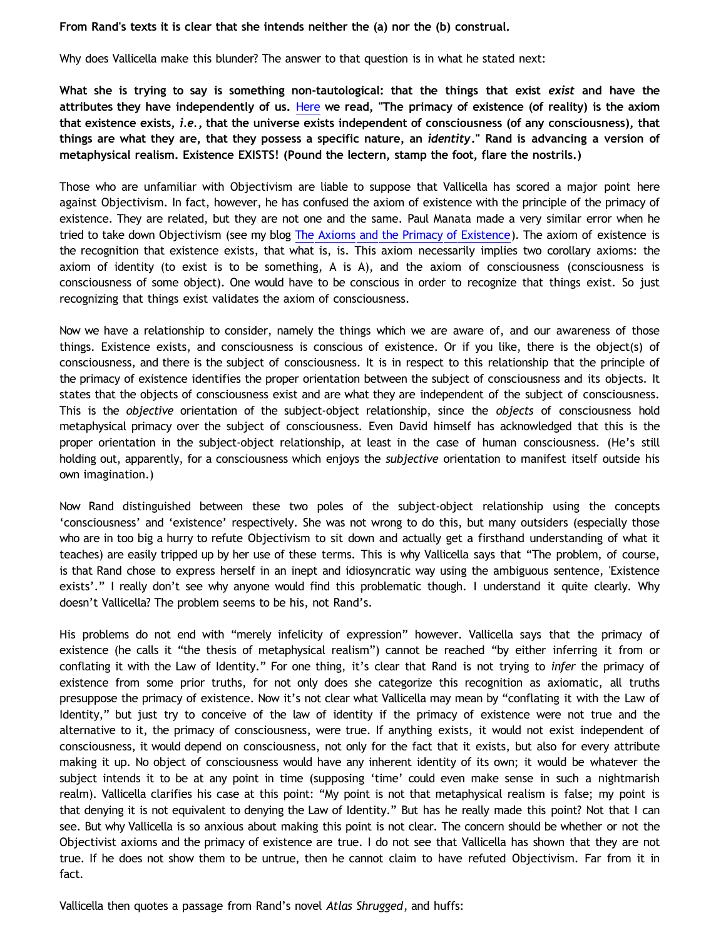**From Rand's texts it is clear that she intends neither the (a) nor the (b) construal.**

Why does Vallicella make this blunder? The answer to that question is in what he stated next:

**What she is trying to say is something non-tautological: that the things that exist** *exist* **and have the attributes they have independently of us.** [Here](http://aynrandlexicon.com/lexicon/primacyofexistence.html) **we read, "The primacy of existence (of reality) is the axiom that existence exists,** *i.e.***, that the universe exists independent of consciousness (of any consciousness), that things are what they are, that they possess a specific nature, an** *identity***." Rand is advancing a version of metaphysical realism. Existence EXISTS! (Pound the lectern, stamp the foot, flare the nostrils.)**

Those who are unfamiliar with Objectivism are liable to suppose that Vallicella has scored a major point here against Objectivism. In fact, however, he has confused the axiom of existence with the principle of the primacy of existence. They are related, but they are not one and the same. Paul Manata made a very similar error when he tried to take down Objectivism (see my blog [The Axioms and the Primacy of Existence](http://bahnsenburner.blogspot.com/2006/12/axioms-and-primacy-of-existence.html)). The axiom of existence is the recognition that existence exists, that what is, is. This axiom necessarily implies two corollary axioms: the axiom of identity (to exist is to be something, A is A), and the axiom of consciousness (consciousness is consciousness of some object). One would have to be conscious in order to recognize that things exist. So just recognizing that things exist validates the axiom of consciousness.

Now we have a relationship to consider, namely the things which we are aware of, and our awareness of those things. Existence exists, and consciousness is conscious of existence. Or if you like, there is the object(s) of consciousness, and there is the subject of consciousness. It is in respect to this relationship that the principle of the primacy of existence identifies the proper orientation between the subject of consciousness and its objects. It states that the objects of consciousness exist and are what they are independent of the subject of consciousness. This is the *objective* orientation of the subject-object relationship, since the *objects* of consciousness hold metaphysical primacy over the subject of consciousness. Even David himself has acknowledged that this is the proper orientation in the subject-object relationship, at least in the case of human consciousness. (He's still holding out, apparently, for a consciousness which enjoys the *subjective* orientation to manifest itself outside his own imagination.)

Now Rand distinguished between these two poles of the subject-object relationship using the concepts 'consciousness' and 'existence' respectively. She was not wrong to do this, but many outsiders (especially those who are in too big a hurry to refute Objectivism to sit down and actually get a firsthand understanding of what it teaches) are easily tripped up by her use of these terms. This is why Vallicella says that "The problem, of course, is that Rand chose to express herself in an inept and idiosyncratic way using the ambiguous sentence, 'Existence exists'." I really don't see why anyone would find this problematic though. I understand it quite clearly. Why doesn't Vallicella? The problem seems to be his, not Rand's.

His problems do not end with "merely infelicity of expression" however. Vallicella says that the primacy of existence (he calls it "the thesis of metaphysical realism") cannot be reached "by either inferring it from or conflating it with the Law of Identity." For one thing, it's clear that Rand is not trying to *infer* the primacy of existence from some prior truths, for not only does she categorize this recognition as axiomatic, all truths presuppose the primacy of existence. Now it's not clear what Vallicella may mean by "conflating it with the Law of Identity," but just try to conceive of the law of identity if the primacy of existence were not true and the alternative to it, the primacy of consciousness, were true. If anything exists, it would not exist independent of consciousness, it would depend on consciousness, not only for the fact that it exists, but also for every attribute making it up. No object of consciousness would have any inherent identity of its own; it would be whatever the subject intends it to be at any point in time (supposing 'time' could even make sense in such a nightmarish realm). Vallicella clarifies his case at this point: "My point is not that metaphysical realism is false; my point is that denying it is not equivalent to denying the Law of Identity." But has he really made this point? Not that I can see. But why Vallicella is so anxious about making this point is not clear. The concern should be whether or not the Objectivist axioms and the primacy of existence are true. I do not see that Vallicella has shown that they are not true. If he does not show them to be untrue, then he cannot claim to have refuted Objectivism. Far from it in fact.

Vallicella then quotes a passage from Rand's novel *Atlas Shrugged*, and huffs: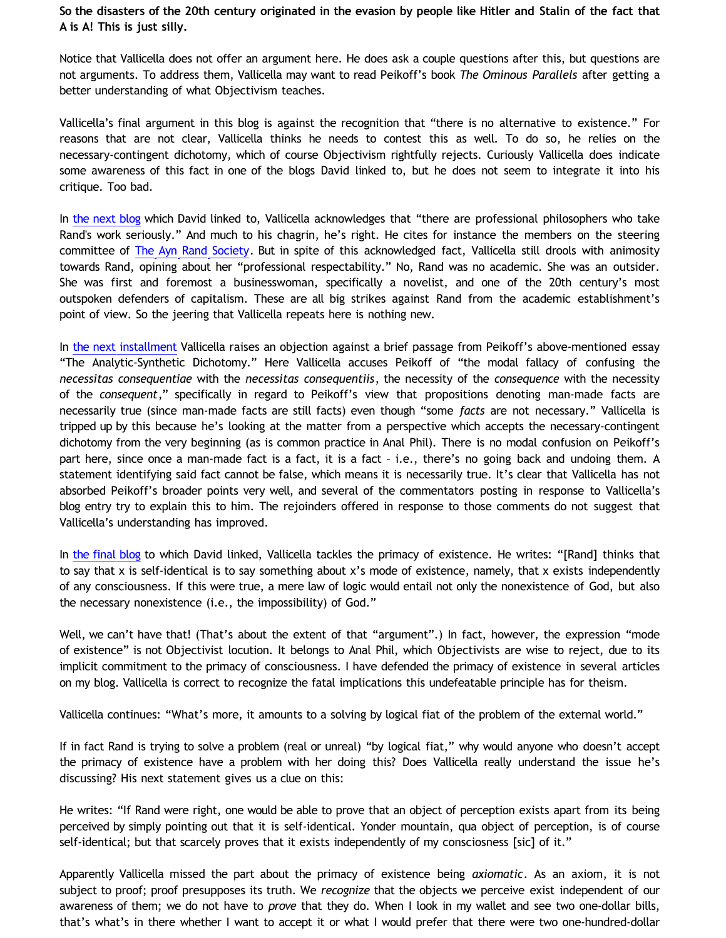**So the disasters of the 20th century originated in the evasion by people like Hitler and Stalin of the fact that A is A! This is just silly.**

Notice that Vallicella does not offer an argument here. He does ask a couple questions after this, but questions are not arguments. To address them, Vallicella may want to read Peikoff's book *The Ominous Parallels* after getting a better understanding of what Objectivism teaches.

Vallicella's final argument in this blog is against the recognition that "there is no alternative to existence." For reasons that are not clear, Vallicella thinks he needs to contest this as well. To do so, he relies on the necessary-contingent dichotomy, which of course Objectivism rightfully rejects. Curiously Vallicella does indicate some awareness of this fact in one of the blogs David linked to, but he does not seem to integrate it into his critique. Too bad.

In [the next blog](http://maverickphilosopher.typepad.com/maverick_philosopher/2009/01/in-all-fairness-to-ayn-rand-and-the-randians-.html) which David linked to, Vallicella acknowledges that "there are professional philosophers who take Rand's work seriously." And much to his chagrin, he's right. He cites for instance the members on the steering committee of [The Ayn Rand Society.](http://www.aynrandsociety.org/) But in spite of this acknowledged fact, Vallicella still drools with animosity towards Rand, opining about her "professional respectability." No, Rand was no academic. She was an outsider. She was first and foremost a businesswoman, specifically a novelist, and one of the 20th century's most outspoken defenders of capitalism. These are all big strikes against Rand from the academic establishment's point of view. So the jeering that Vallicella repeats here is nothing new.

In [the next installment](http://maverickphilosopher.typepad.com/maverick_philosopher/2009/01/modal-confusion-in-randpeikoff.html) Vallicella raises an objection against a brief passage from Peikoff's above-mentioned essay "The Analytic-Synthetic Dichotomy." Here Vallicella accuses Peikoff of "the modal fallacy of confusing the *necessitas consequentiae* with the *necessitas consequentiis*, the necessity of the *consequence* with the necessity of the *consequent*," specifically in regard to Peikoff's view that propositions denoting man-made facts are necessarily true (since man-made facts are still facts) even though "some *facts* are not necessary." Vallicella is tripped up by this because he's looking at the matter from a perspective which accepts the necessary-contingent dichotomy from the very beginning (as is common practice in Anal Phil). There is no modal confusion on Peikoff's part here, since once a man-made fact is a fact, it is a fact – i.e., there's no going back and undoing them. A statement identifying said fact cannot be false, which means it is necessarily true. It's clear that Vallicella has not absorbed Peikoff's broader points very well, and several of the commentators posting in response to Vallicella's blog entry try to explain this to him. The rejoinders offered in response to those comments do not suggest that Vallicella's understanding has improved.

In [the final blog](http://maverickphilosopher.typepad.com/maverick_philosopher/2009/01/is-ayn-rand-a-good-philosopher-rand-on-the-primacy-of-existence.html) to which David linked, Vallicella tackles the primacy of existence. He writes: "[Rand] thinks that to say that x is self-identical is to say something about x's mode of existence, namely, that x exists independently of any consciousness. If this were true, a mere law of logic would entail not only the nonexistence of God, but also the necessary nonexistence (i.e., the impossibility) of God."

Well, we can't have that! (That's about the extent of that "argument".) In fact, however, the expression "mode of existence" is not Objectivist locution. It belongs to Anal Phil, which Objectivists are wise to reject, due to its implicit commitment to the primacy of consciousness. I have defended the primacy of existence in several articles on my blog. Vallicella is correct to recognize the fatal implications this undefeatable principle has for theism.

Vallicella continues: "What's more, it amounts to a solving by logical fiat of the problem of the external world."

If in fact Rand is trying to solve a problem (real or unreal) "by logical fiat," why would anyone who doesn't accept the primacy of existence have a problem with her doing this? Does Vallicella really understand the issue he's discussing? His next statement gives us a clue on this:

He writes: "If Rand were right, one would be able to prove that an object of perception exists apart from its being perceived by simply pointing out that it is self-identical. Yonder mountain, qua object of perception, is of course self-identical; but that scarcely proves that it exists independently of my consciosness [sic] of it."

Apparently Vallicella missed the part about the primacy of existence being *axiomatic*. As an axiom, it is not subject to proof; proof presupposes its truth. We *recognize* that the objects we perceive exist independent of our awareness of them; we do not have to *prove* that they do. When I look in my wallet and see two one-dollar bills, that's what's in there whether I want to accept it or what I would prefer that there were two one-hundred-dollar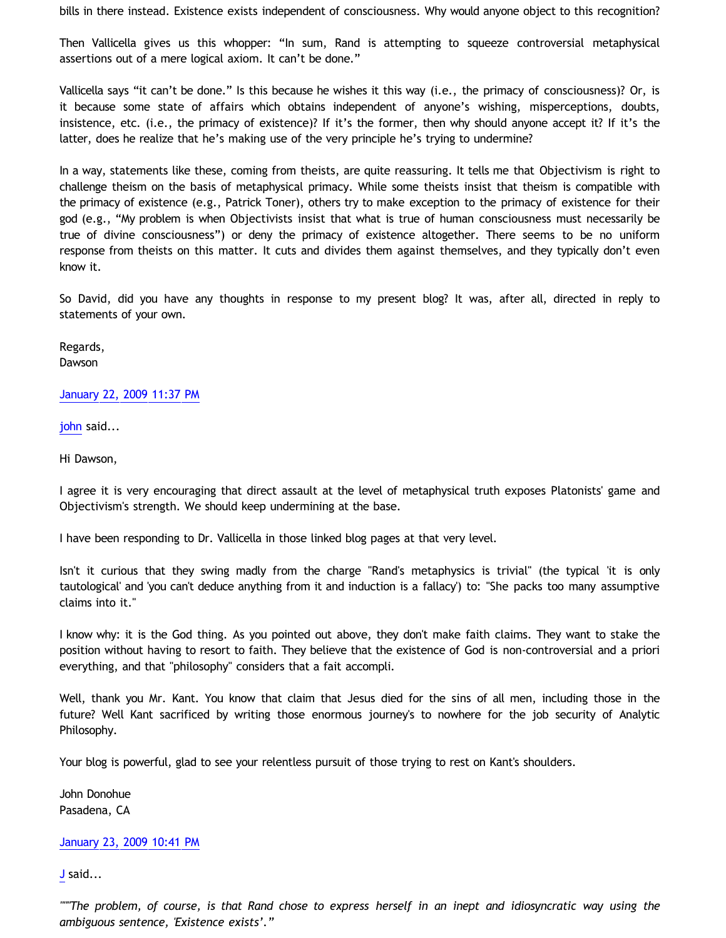bills in there instead. Existence exists independent of consciousness. Why would anyone object to this recognition?

Then Vallicella gives us this whopper: "In sum, Rand is attempting to squeeze controversial metaphysical assertions out of a mere logical axiom. It can't be done."

Vallicella says "it can't be done." Is this because he wishes it this way (i.e., the primacy of consciousness)? Or, is it because some state of affairs which obtains independent of anyone's wishing, misperceptions, doubts, insistence, etc. (i.e., the primacy of existence)? If it's the former, then why should anyone accept it? If it's the latter, does he realize that he's making use of the very principle he's trying to undermine?

In a way, statements like these, coming from theists, are quite reassuring. It tells me that Objectivism is right to challenge theism on the basis of metaphysical primacy. While some theists insist that theism is compatible with the primacy of existence (e.g., Patrick Toner), others try to make exception to the primacy of existence for their god (e.g., "My problem is when Objectivists insist that what is true of human consciousness must necessarily be true of divine consciousness") or deny the primacy of existence altogether. There seems to be no uniform response from theists on this matter. It cuts and divides them against themselves, and they typically don't even know it.

So David, did you have any thoughts in response to my present blog? It was, after all, directed in reply to statements of your own.

Regards, Dawson

# [January 22, 2009 11:37 PM](http://bahnsenburner.blogspot.com/2009/01/#8647579902649336402)

[john](http://www.blogger.com/profile/15002005729072165615) said...

Hi Dawson,

I agree it is very encouraging that direct assault at the level of metaphysical truth exposes Platonists' game and Objectivism's strength. We should keep undermining at the base.

I have been responding to Dr. Vallicella in those linked blog pages at that very level.

Isn't it curious that they swing madly from the charge "Rand's metaphysics is trivial" (the typical 'it is only tautological' and 'you can't deduce anything from it and induction is a fallacy') to: "She packs too many assumptive claims into it."

I know why: it is the God thing. As you pointed out above, they don't make faith claims. They want to stake the position without having to resort to faith. They believe that the existence of God is non-controversial and a priori everything, and that "philosophy" considers that a fait accompli.

Well, thank you Mr. Kant. You know that claim that Jesus died for the sins of all men, including those in the future? Well Kant sacrificed by writing those enormous journey's to nowhere for the job security of Analytic Philosophy.

Your blog is powerful, glad to see your relentless pursuit of those trying to rest on Kant's shoulders.

John Donohue Pasadena, CA

### [January 23, 2009 10:41 PM](http://bahnsenburner.blogspot.com/2009/01/#789083687376106689)

[J](http://www.blogger.com/profile/11567400697675996283) said...

*"""The problem, of course, is that Rand chose to express herself in an inept and idiosyncratic way using the ambiguous sentence, 'Existence exists'."*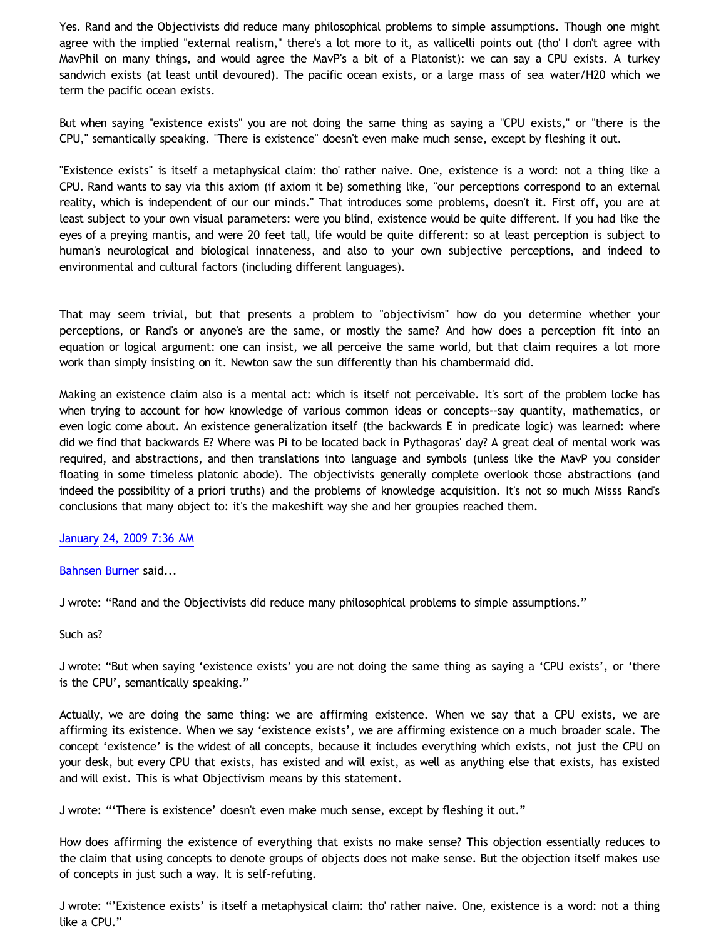Yes. Rand and the Objectivists did reduce many philosophical problems to simple assumptions. Though one might agree with the implied "external realism," there's a lot more to it, as vallicelli points out (tho' I don't agree with MavPhil on many things, and would agree the MavP's a bit of a Platonist): we can say a CPU exists. A turkey sandwich exists (at least until devoured). The pacific ocean exists, or a large mass of sea water/H20 which we term the pacific ocean exists.

But when saying "existence exists" you are not doing the same thing as saying a "CPU exists," or "there is the CPU," semantically speaking. "There is existence" doesn't even make much sense, except by fleshing it out.

"Existence exists" is itself a metaphysical claim: tho' rather naive. One, existence is a word: not a thing like a CPU. Rand wants to say via this axiom (if axiom it be) something like, "our perceptions correspond to an external reality, which is independent of our our minds." That introduces some problems, doesn't it. First off, you are at least subject to your own visual parameters: were you blind, existence would be quite different. If you had like the eyes of a preying mantis, and were 20 feet tall, life would be quite different: so at least perception is subject to human's neurological and biological innateness, and also to your own subjective perceptions, and indeed to environmental and cultural factors (including different languages).

That may seem trivial, but that presents a problem to "objectivism" how do you determine whether your perceptions, or Rand's or anyone's are the same, or mostly the same? And how does a perception fit into an equation or logical argument: one can insist, we all perceive the same world, but that claim requires a lot more work than simply insisting on it. Newton saw the sun differently than his chambermaid did.

Making an existence claim also is a mental act: which is itself not perceivable. It's sort of the problem locke has when trying to account for how knowledge of various common ideas or concepts--say quantity, mathematics, or even logic come about. An existence generalization itself (the backwards E in predicate logic) was learned: where did we find that backwards E? Where was Pi to be located back in Pythagoras' day? A great deal of mental work was required, and abstractions, and then translations into language and symbols (unless like the MavP you consider floating in some timeless platonic abode). The objectivists generally complete overlook those abstractions (and indeed the possibility of a priori truths) and the problems of knowledge acquisition. It's not so much Misss Rand's conclusions that many object to: it's the makeshift way she and her groupies reached them.

### [January 24, 2009 7:36 AM](http://bahnsenburner.blogspot.com/2009/01/#2338434517118927598)

[Bahnsen Burner](http://www.blogger.com/profile/11030029491768748360) said...

J wrote: "Rand and the Objectivists did reduce many philosophical problems to simple assumptions."

#### Such as?

J wrote: "But when saying 'existence exists' you are not doing the same thing as saying a 'CPU exists', or 'there is the CPU', semantically speaking."

Actually, we are doing the same thing: we are affirming existence. When we say that a CPU exists, we are affirming its existence. When we say 'existence exists', we are affirming existence on a much broader scale. The concept 'existence' is the widest of all concepts, because it includes everything which exists, not just the CPU on your desk, but every CPU that exists, has existed and will exist, as well as anything else that exists, has existed and will exist. This is what Objectivism means by this statement.

J wrote: "'There is existence' doesn't even make much sense, except by fleshing it out."

How does affirming the existence of everything that exists no make sense? This objection essentially reduces to the claim that using concepts to denote groups of objects does not make sense. But the objection itself makes use of concepts in just such a way. It is self-refuting.

J wrote: "'Existence exists' is itself a metaphysical claim: tho' rather naive. One, existence is a word: not a thing like a CPU."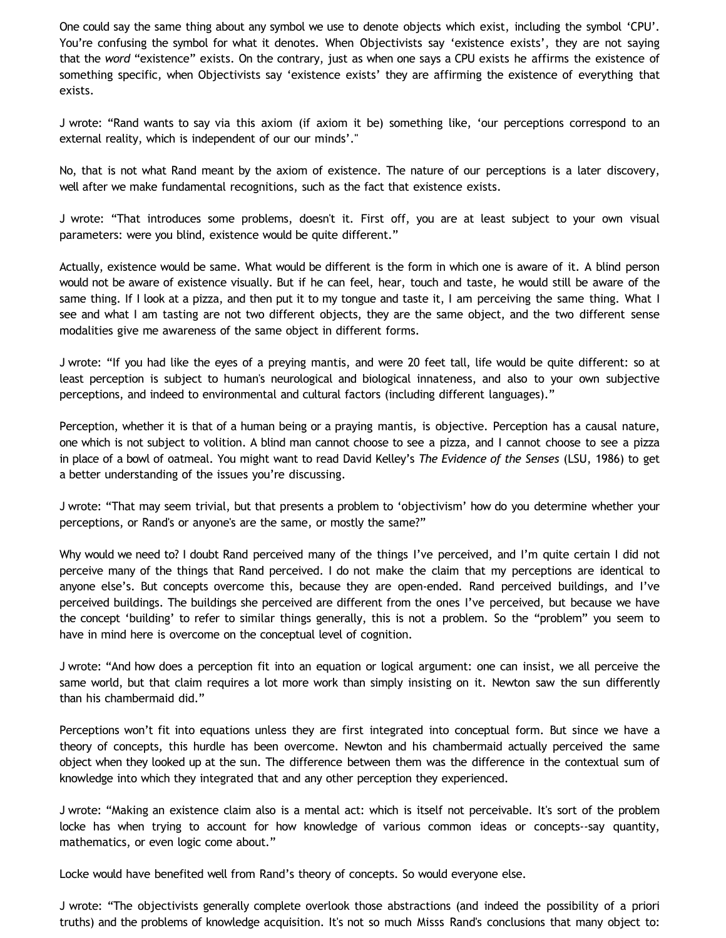One could say the same thing about any symbol we use to denote objects which exist, including the symbol 'CPU'. You're confusing the symbol for what it denotes. When Objectivists say 'existence exists', they are not saying that the *word* "existence" exists. On the contrary, just as when one says a CPU exists he affirms the existence of something specific, when Objectivists say 'existence exists' they are affirming the existence of everything that exists.

J wrote: "Rand wants to say via this axiom (if axiom it be) something like, 'our perceptions correspond to an external reality, which is independent of our our minds'."

No, that is not what Rand meant by the axiom of existence. The nature of our perceptions is a later discovery, well after we make fundamental recognitions, such as the fact that existence exists.

J wrote: "That introduces some problems, doesn't it. First off, you are at least subject to your own visual parameters: were you blind, existence would be quite different."

Actually, existence would be same. What would be different is the form in which one is aware of it. A blind person would not be aware of existence visually. But if he can feel, hear, touch and taste, he would still be aware of the same thing. If I look at a pizza, and then put it to my tongue and taste it, I am perceiving the same thing. What I see and what I am tasting are not two different objects, they are the same object, and the two different sense modalities give me awareness of the same object in different forms.

J wrote: "If you had like the eyes of a preying mantis, and were 20 feet tall, life would be quite different: so at least perception is subject to human's neurological and biological innateness, and also to your own subjective perceptions, and indeed to environmental and cultural factors (including different languages)."

Perception, whether it is that of a human being or a praying mantis, is objective. Perception has a causal nature, one which is not subject to volition. A blind man cannot choose to see a pizza, and I cannot choose to see a pizza in place of a bowl of oatmeal. You might want to read David Kelley's *The Evidence of the Senses* (LSU, 1986) to get a better understanding of the issues you're discussing.

J wrote: "That may seem trivial, but that presents a problem to 'objectivism' how do you determine whether your perceptions, or Rand's or anyone's are the same, or mostly the same?"

Why would we need to? I doubt Rand perceived many of the things I've perceived, and I'm quite certain I did not perceive many of the things that Rand perceived. I do not make the claim that my perceptions are identical to anyone else's. But concepts overcome this, because they are open-ended. Rand perceived buildings, and I've perceived buildings. The buildings she perceived are different from the ones I've perceived, but because we have the concept 'building' to refer to similar things generally, this is not a problem. So the "problem" you seem to have in mind here is overcome on the conceptual level of cognition.

J wrote: "And how does a perception fit into an equation or logical argument: one can insist, we all perceive the same world, but that claim requires a lot more work than simply insisting on it. Newton saw the sun differently than his chambermaid did."

Perceptions won't fit into equations unless they are first integrated into conceptual form. But since we have a theory of concepts, this hurdle has been overcome. Newton and his chambermaid actually perceived the same object when they looked up at the sun. The difference between them was the difference in the contextual sum of knowledge into which they integrated that and any other perception they experienced.

J wrote: "Making an existence claim also is a mental act: which is itself not perceivable. It's sort of the problem locke has when trying to account for how knowledge of various common ideas or concepts--say quantity, mathematics, or even logic come about."

Locke would have benefited well from Rand's theory of concepts. So would everyone else.

J wrote: "The objectivists generally complete overlook those abstractions (and indeed the possibility of a priori truths) and the problems of knowledge acquisition. It's not so much Misss Rand's conclusions that many object to: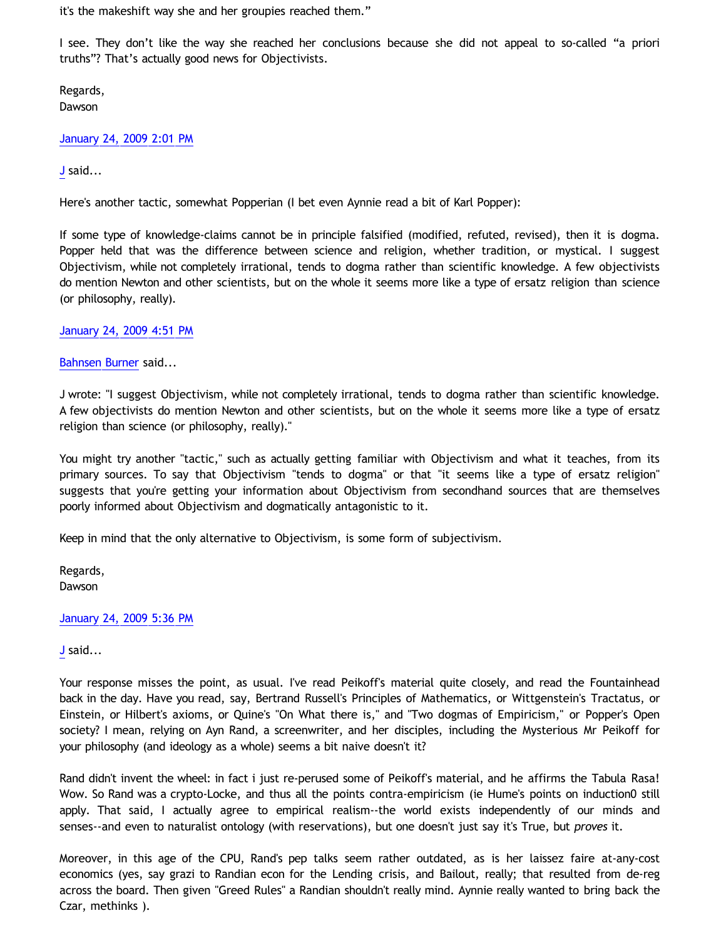it's the makeshift way she and her groupies reached them."

I see. They don't like the way she reached her conclusions because she did not appeal to so-called "a priori truths"? That's actually good news for Objectivists.

Regards, Dawson

[January 24, 2009 2:01 PM](http://bahnsenburner.blogspot.com/2009/01/#7197921384310010983)

[J](http://www.blogger.com/profile/11567400697675996283) said...

Here's another tactic, somewhat Popperian (I bet even Aynnie read a bit of Karl Popper):

If some type of knowledge-claims cannot be in principle falsified (modified, refuted, revised), then it is dogma. Popper held that was the difference between science and religion, whether tradition, or mystical. I suggest Objectivism, while not completely irrational, tends to dogma rather than scientific knowledge. A few objectivists do mention Newton and other scientists, but on the whole it seems more like a type of ersatz religion than science (or philosophy, really).

[January 24, 2009 4:51 PM](http://bahnsenburner.blogspot.com/2009/01/#8413326302455221833)

[Bahnsen Burner](http://www.blogger.com/profile/11030029491768748360) said...

J wrote: "I suggest Objectivism, while not completely irrational, tends to dogma rather than scientific knowledge. A few objectivists do mention Newton and other scientists, but on the whole it seems more like a type of ersatz religion than science (or philosophy, really)."

You might try another "tactic," such as actually getting familiar with Objectivism and what it teaches, from its primary sources. To say that Objectivism "tends to dogma" or that "it seems like a type of ersatz religion" suggests that you're getting your information about Objectivism from secondhand sources that are themselves poorly informed about Objectivism and dogmatically antagonistic to it.

Keep in mind that the only alternative to Objectivism, is some form of subjectivism.

Regards, Dawson

### [January 24, 2009 5:36 PM](http://bahnsenburner.blogspot.com/2009/01/#2650108386541823384)

[J](http://www.blogger.com/profile/11567400697675996283) said...

Your response misses the point, as usual. I've read Peikoff's material quite closely, and read the Fountainhead back in the day. Have you read, say, Bertrand Russell's Principles of Mathematics, or Wittgenstein's Tractatus, or Einstein, or Hilbert's axioms, or Quine's "On What there is," and "Two dogmas of Empiricism," or Popper's Open society? I mean, relying on Ayn Rand, a screenwriter, and her disciples, including the Mysterious Mr Peikoff for your philosophy (and ideology as a whole) seems a bit naive doesn't it?

Rand didn't invent the wheel: in fact i just re-perused some of Peikoff's material, and he affirms the Tabula Rasa! Wow. So Rand was a crypto-Locke, and thus all the points contra-empiricism (ie Hume's points on induction0 still apply. That said, I actually agree to empirical realism--the world exists independently of our minds and senses--and even to naturalist ontology (with reservations), but one doesn't just say it's True, but *proves* it.

Moreover, in this age of the CPU, Rand's pep talks seem rather outdated, as is her laissez faire at-any-cost economics (yes, say grazi to Randian econ for the Lending crisis, and Bailout, really; that resulted from de-reg across the board. Then given "Greed Rules" a Randian shouldn't really mind. Aynnie really wanted to bring back the Czar, methinks ).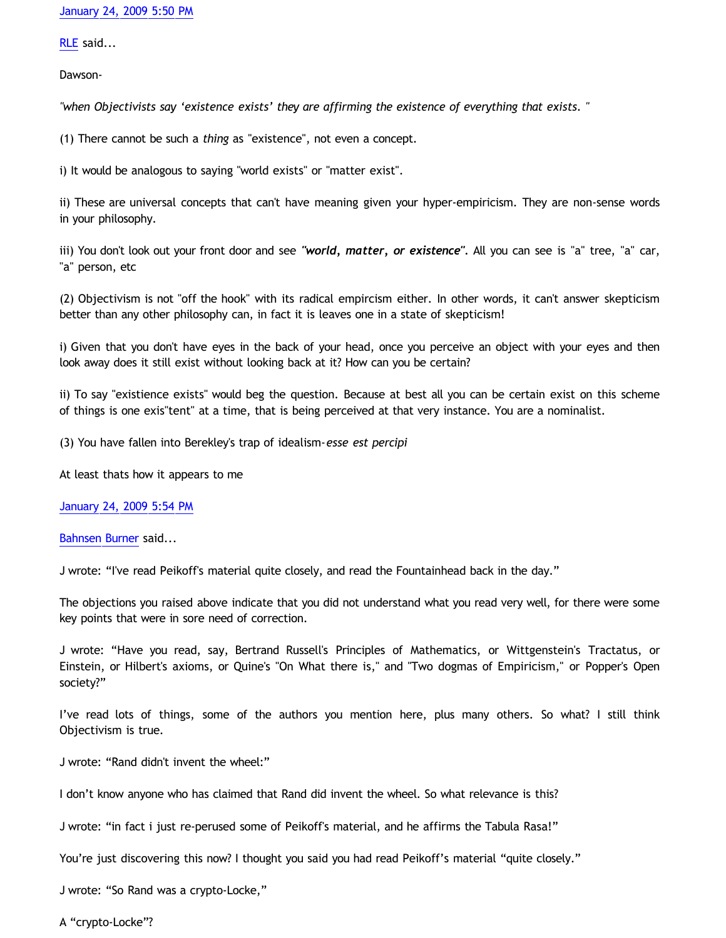[January 24, 2009 5:50 PM](http://bahnsenburner.blogspot.com/2009/01/#2155197133872509418)

[RLE](http://www.blogger.com/profile/18138254059628731604) said...

Dawson-

*"when Objectivists say 'existence exists' they are affirming the existence of everything that exists. "*

(1) There cannot be such a *thing* as "existence", not even a concept.

i) It would be analogous to saying "world exists" or "matter exist".

ii) These are universal concepts that can't have meaning given your hyper-empiricism. They are non-sense words in your philosophy.

iii) You don't look out your front door and see *"world, matter, or existence".* All you can see is "a" tree, "a" car, "a" person, etc

(2) Objectivism is not "off the hook" with its radical empircism either. In other words, it can't answer skepticism better than any other philosophy can, in fact it is leaves one in a state of skepticism!

i) Given that you don't have eyes in the back of your head, once you perceive an object with your eyes and then look away does it still exist without looking back at it? How can you be certain?

ii) To say "existience exists" would beg the question. Because at best all you can be certain exist on this scheme of things is one exis"tent" at a time, that is being perceived at that very instance. You are a nominalist.

(3) You have fallen into Berekley's trap of idealism-*esse est percipi*

At least thats how it appears to me

[January 24, 2009 5:54 PM](http://bahnsenburner.blogspot.com/2009/01/#7671989659319167549)

[Bahnsen Burner](http://www.blogger.com/profile/11030029491768748360) said...

J wrote: "I've read Peikoff's material quite closely, and read the Fountainhead back in the day."

The objections you raised above indicate that you did not understand what you read very well, for there were some key points that were in sore need of correction.

J wrote: "Have you read, say, Bertrand Russell's Principles of Mathematics, or Wittgenstein's Tractatus, or Einstein, or Hilbert's axioms, or Quine's "On What there is," and "Two dogmas of Empiricism," or Popper's Open society?"

I've read lots of things, some of the authors you mention here, plus many others. So what? I still think Objectivism is true.

J wrote: "Rand didn't invent the wheel:"

I don't know anyone who has claimed that Rand did invent the wheel. So what relevance is this?

J wrote: "in fact i just re-perused some of Peikoff's material, and he affirms the Tabula Rasa!"

You're just discovering this now? I thought you said you had read Peikoff's material "quite closely."

J wrote: "So Rand was a crypto-Locke,"

A "crypto-Locke"?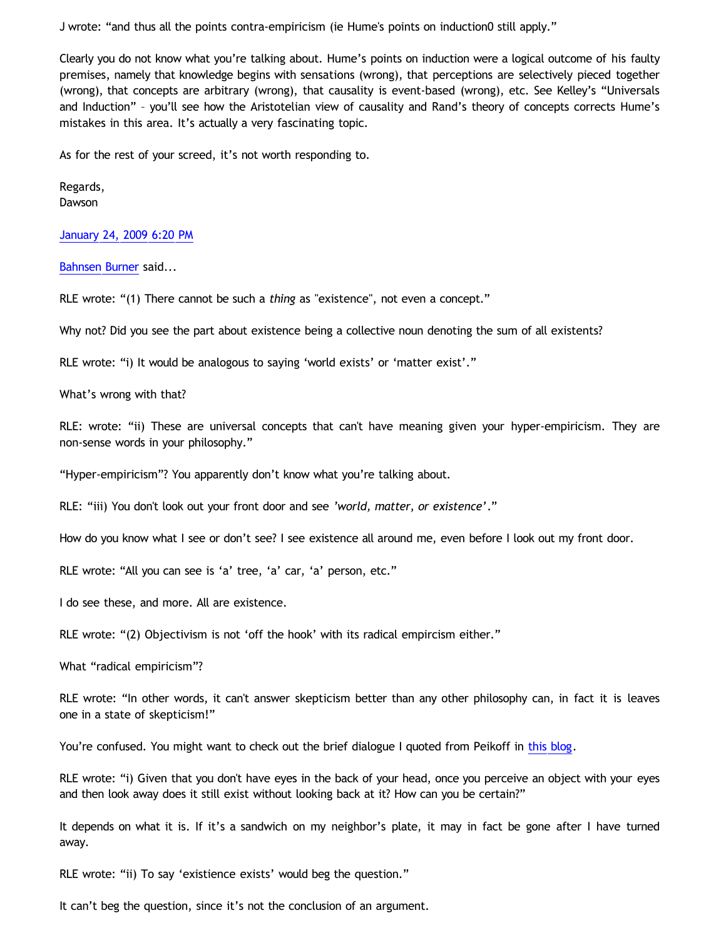J wrote: "and thus all the points contra-empiricism (ie Hume's points on induction0 still apply."

Clearly you do not know what you're talking about. Hume's points on induction were a logical outcome of his faulty premises, namely that knowledge begins with sensations (wrong), that perceptions are selectively pieced together (wrong), that concepts are arbitrary (wrong), that causality is event-based (wrong), etc. See Kelley's "Universals and Induction" – you'll see how the Aristotelian view of causality and Rand's theory of concepts corrects Hume's mistakes in this area. It's actually a very fascinating topic.

As for the rest of your screed, it's not worth responding to.

Regards, Dawson

[January 24, 2009 6:20 PM](http://bahnsenburner.blogspot.com/2009/01/#5150169102017944691)

[Bahnsen Burner](http://www.blogger.com/profile/11030029491768748360) said...

RLE wrote: "(1) There cannot be such a *thing* as "existence", not even a concept."

Why not? Did you see the part about existence being a collective noun denoting the sum of all existents?

RLE wrote: "i) It would be analogous to saying 'world exists' or 'matter exist'."

What's wrong with that?

RLE: wrote: "ii) These are universal concepts that can't have meaning given your hyper-empiricism. They are non-sense words in your philosophy."

"Hyper-empiricism"? You apparently don't know what you're talking about.

RLE: "iii) You don't look out your front door and see *'world, matter, or existence'*."

How do you know what I see or don't see? I see existence all around me, even before I look out my front door.

RLE wrote: "All you can see is 'a' tree, 'a' car, 'a' person, etc."

I do see these, and more. All are existence.

RLE wrote: "(2) Objectivism is not 'off the hook' with its radical empircism either."

What "radical empiricism"?

RLE wrote: "In other words, it can't answer skepticism better than any other philosophy can, in fact it is leaves one in a state of skepticism!"

You're confused. You might want to check out the brief dialogue I quoted from Peikoff in [this blog](http://bahnsenburner.blogspot.com/2008/10/reply-to-tennant-on-theistic.html).

RLE wrote: "i) Given that you don't have eyes in the back of your head, once you perceive an object with your eyes and then look away does it still exist without looking back at it? How can you be certain?"

It depends on what it is. If it's a sandwich on my neighbor's plate, it may in fact be gone after I have turned away.

RLE wrote: "ii) To say 'existience exists' would beg the question."

It can't beg the question, since it's not the conclusion of an argument.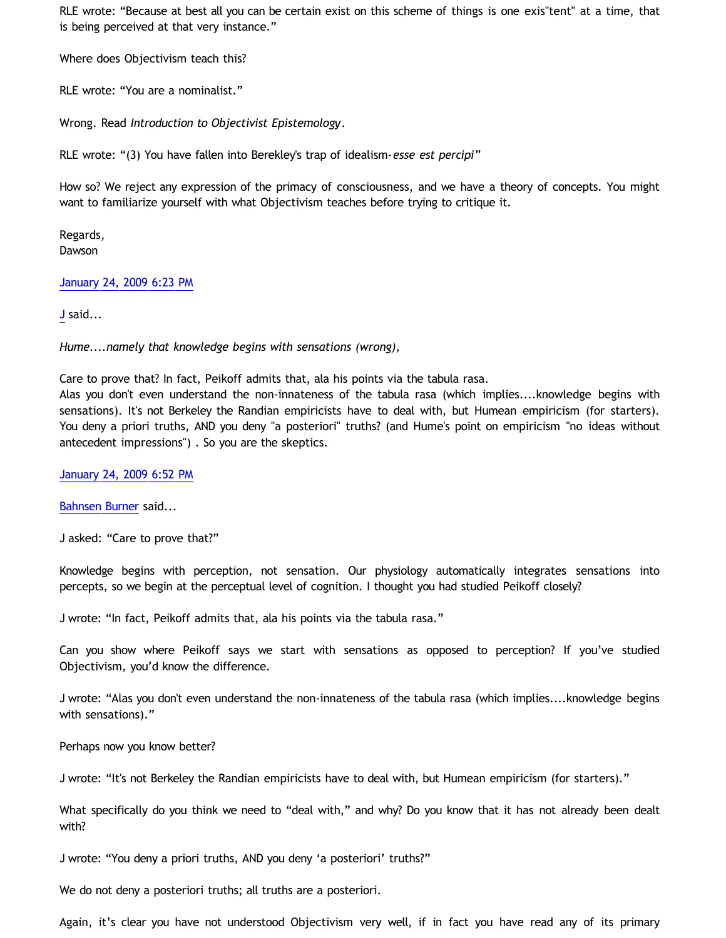RLE wrote: "Because at best all you can be certain exist on this scheme of things is one exis"tent" at a time, that is being perceived at that very instance."

Where does Objectivism teach this?

RLE wrote: "You are a nominalist."

Wrong. Read *Introduction to Objectivist Epistemology*.

RLE wrote: "(3) You have fallen into Berekley's trap of idealism-*esse est percipi*"

How so? We reject any expression of the primacy of consciousness, and we have a theory of concepts. You might want to familiarize yourself with what Objectivism teaches before trying to critique it.

Regards, Dawson

# [January 24, 2009 6:23 PM](http://bahnsenburner.blogspot.com/2009/01/#8198022266634786489)

[J](http://www.blogger.com/profile/11567400697675996283) said...

*Hume....namely that knowledge begins with sensations (wrong),*

Care to prove that? In fact, Peikoff admits that, ala his points via the tabula rasa.

Alas you don't even understand the non-innateness of the tabula rasa (which implies....knowledge begins with sensations). It's not Berkeley the Randian empiricists have to deal with, but Humean empiricism (for starters). You deny a priori truths, AND you deny "a posteriori" truths? (and Hume's point on empiricism "no ideas without antecedent impressions") . So you are the skeptics.

[January 24, 2009 6:52 PM](http://bahnsenburner.blogspot.com/2009/01/#193696930223542249)

[Bahnsen Burner](http://www.blogger.com/profile/11030029491768748360) said...

J asked: "Care to prove that?"

Knowledge begins with perception, not sensation. Our physiology automatically integrates sensations into percepts, so we begin at the perceptual level of cognition. I thought you had studied Peikoff closely?

J wrote: "In fact, Peikoff admits that, ala his points via the tabula rasa."

Can you show where Peikoff says we start with sensations as opposed to perception? If you've studied Objectivism, you'd know the difference.

J wrote: "Alas you don't even understand the non-innateness of the tabula rasa (which implies....knowledge begins with sensations)."

Perhaps now you know better?

J wrote: "It's not Berkeley the Randian empiricists have to deal with, but Humean empiricism (for starters)."

What specifically do you think we need to "deal with," and why? Do you know that it has not already been dealt with?

J wrote: "You deny a priori truths, AND you deny 'a posteriori' truths?"

We do not deny a posteriori truths; all truths are a posteriori.

Again, it's clear you have not understood Objectivism very well, if in fact you have read any of its primary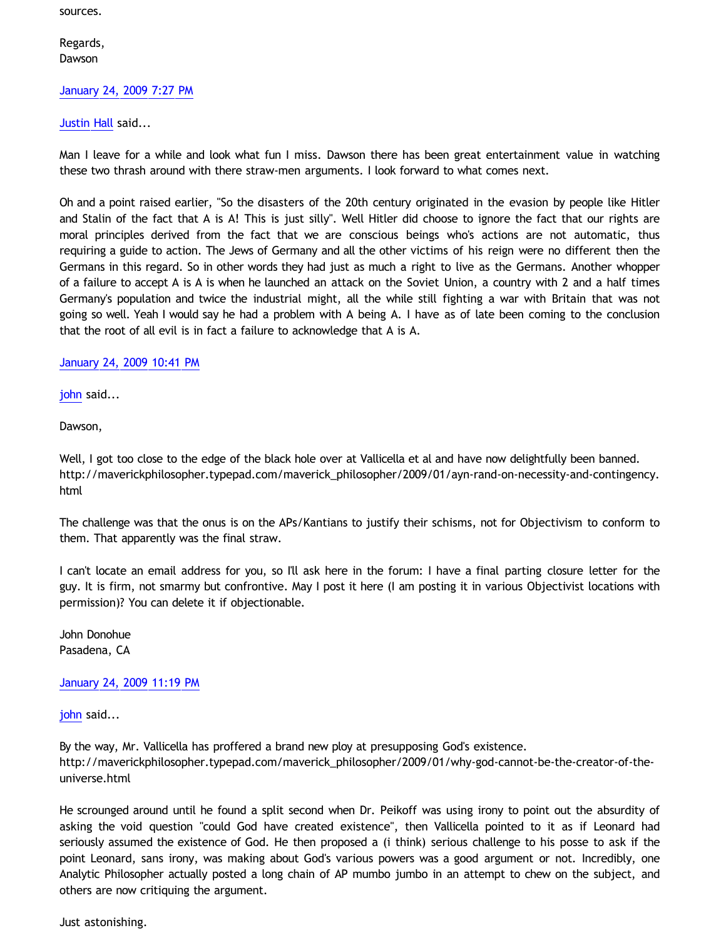sources.

Regards, Dawson

# [January 24, 2009 7:27 PM](http://bahnsenburner.blogspot.com/2009/01/#8527260264734768385)

# [Justin Hall](http://www.blogger.com/profile/17804641315202800289) said...

Man I leave for a while and look what fun I miss. Dawson there has been great entertainment value in watching these two thrash around with there straw-men arguments. I look forward to what comes next.

Oh and a point raised earlier, "So the disasters of the 20th century originated in the evasion by people like Hitler and Stalin of the fact that A is A! This is just silly". Well Hitler did choose to ignore the fact that our rights are moral principles derived from the fact that we are conscious beings who's actions are not automatic, thus requiring a guide to action. The Jews of Germany and all the other victims of his reign were no different then the Germans in this regard. So in other words they had just as much a right to live as the Germans. Another whopper of a failure to accept A is A is when he launched an attack on the Soviet Union, a country with 2 and a half times Germany's population and twice the industrial might, all the while still fighting a war with Britain that was not going so well. Yeah I would say he had a problem with A being A. I have as of late been coming to the conclusion that the root of all evil is in fact a failure to acknowledge that A is A.

# [January 24, 2009 10:41 PM](http://bahnsenburner.blogspot.com/2009/01/#958739423416293179)

[john](http://www.blogger.com/profile/15002005729072165615) said...

Dawson,

Well, I got too close to the edge of the black hole over at Vallicella et al and have now delightfully been banned. [http://maverickphilosopher.typepad.com/maverick\\_philosopher/2009/01/ayn-rand-on-necessity-and-contingency.](http://maverickphilosopher.typepad.com/maverick_philosopher/2009/01/ayn-rand-on-necessity-and-contingency.) html

The challenge was that the onus is on the APs/Kantians to justify their schisms, not for Objectivism to conform to them. That apparently was the final straw.

I can't locate an email address for you, so I'll ask here in the forum: I have a final parting closure letter for the guy. It is firm, not smarmy but confrontive. May I post it here (I am posting it in various Objectivist locations with permission)? You can delete it if objectionable.

John Donohue Pasadena, CA

[January 24, 2009 11:19 PM](http://bahnsenburner.blogspot.com/2009/01/#3648682120122112674)

[john](http://www.blogger.com/profile/15002005729072165615) said...

By the way, Mr. Vallicella has proffered a brand new ploy at presupposing God's existence. [http://maverickphilosopher.typepad.com/maverick\\_philosopher/2009/01/why-god-cannot-be-the-creator-of-the](http://maverickphilosopher.typepad.com/maverick_philosopher/2009/01/why-god-cannot-be-the-creator-of-the-)universe.html

He scrounged around until he found a split second when Dr. Peikoff was using irony to point out the absurdity of asking the void question "could God have created existence", then Vallicella pointed to it as if Leonard had seriously assumed the existence of God. He then proposed a (i think) serious challenge to his posse to ask if the point Leonard, sans irony, was making about God's various powers was a good argument or not. Incredibly, one Analytic Philosopher actually posted a long chain of AP mumbo jumbo in an attempt to chew on the subject, and others are now critiquing the argument.

Just astonishing.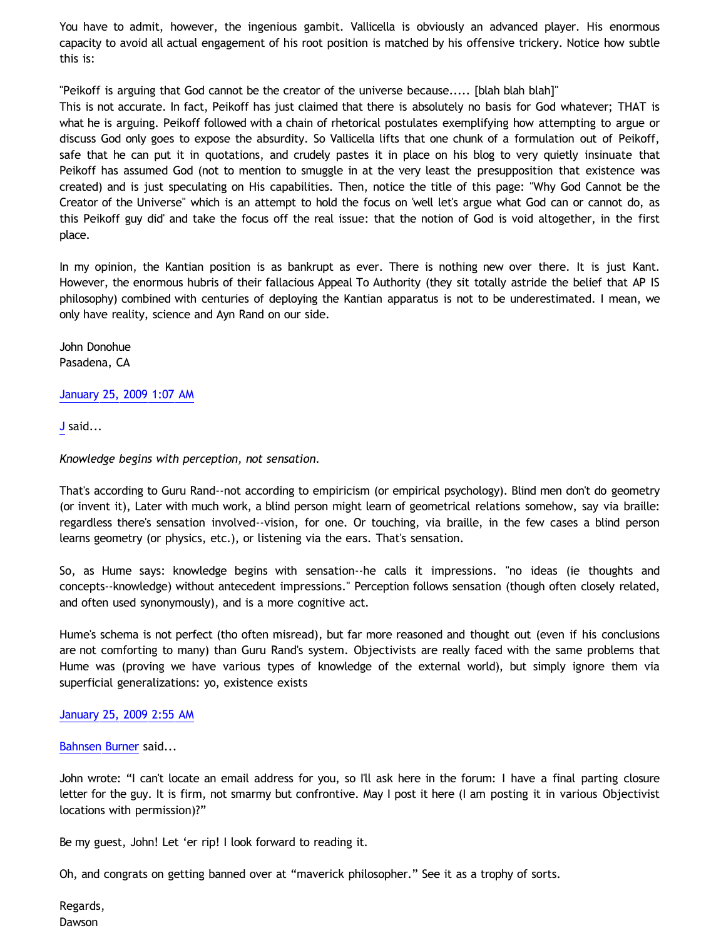You have to admit, however, the ingenious gambit. Vallicella is obviously an advanced player. His enormous capacity to avoid all actual engagement of his root position is matched by his offensive trickery. Notice how subtle this is:

"Peikoff is arguing that God cannot be the creator of the universe because..... [blah blah blah]"

This is not accurate. In fact, Peikoff has just claimed that there is absolutely no basis for God whatever; THAT is what he is arguing. Peikoff followed with a chain of rhetorical postulates exemplifying how attempting to argue or discuss God only goes to expose the absurdity. So Vallicella lifts that one chunk of a formulation out of Peikoff, safe that he can put it in quotations, and crudely pastes it in place on his blog to very quietly insinuate that Peikoff has assumed God (not to mention to smuggle in at the very least the presupposition that existence was created) and is just speculating on His capabilities. Then, notice the title of this page: "Why God Cannot be the Creator of the Universe" which is an attempt to hold the focus on 'well let's argue what God can or cannot do, as this Peikoff guy did' and take the focus off the real issue: that the notion of God is void altogether, in the first place.

In my opinion, the Kantian position is as bankrupt as ever. There is nothing new over there. It is just Kant. However, the enormous hubris of their fallacious Appeal To Authority (they sit totally astride the belief that AP IS philosophy) combined with centuries of deploying the Kantian apparatus is not to be underestimated. I mean, we only have reality, science and Ayn Rand on our side.

John Donohue Pasadena, CA

# [January 25, 2009 1:07 AM](http://bahnsenburner.blogspot.com/2009/01/#6416523618974133592)

[J](http://www.blogger.com/profile/11567400697675996283) said...

# *Knowledge begins with perception, not sensation.*

That's according to Guru Rand--not according to empiricism (or empirical psychology). Blind men don't do geometry (or invent it), Later with much work, a blind person might learn of geometrical relations somehow, say via braille: regardless there's sensation involved--vision, for one. Or touching, via braille, in the few cases a blind person learns geometry (or physics, etc.), or listening via the ears. That's sensation.

So, as Hume says: knowledge begins with sensation--he calls it impressions. "no ideas (ie thoughts and concepts--knowledge) without antecedent impressions." Perception follows sensation (though often closely related, and often used synonymously), and is a more cognitive act.

Hume's schema is not perfect (tho often misread), but far more reasoned and thought out (even if his conclusions are not comforting to many) than Guru Rand's system. Objectivists are really faced with the same problems that Hume was (proving we have various types of knowledge of the external world), but simply ignore them via superficial generalizations: yo, existence exists

# [January 25, 2009 2:55 AM](http://bahnsenburner.blogspot.com/2009/01/#2452461108182818690)

# [Bahnsen Burner](http://www.blogger.com/profile/11030029491768748360) said...

John wrote: "I can't locate an email address for you, so I'll ask here in the forum: I have a final parting closure letter for the guy. It is firm, not smarmy but confrontive. May I post it here (I am posting it in various Objectivist locations with permission)?"

Be my guest, John! Let 'er rip! I look forward to reading it.

Oh, and congrats on getting banned over at "maverick philosopher." See it as a trophy of sorts.

Regards, **Dawson**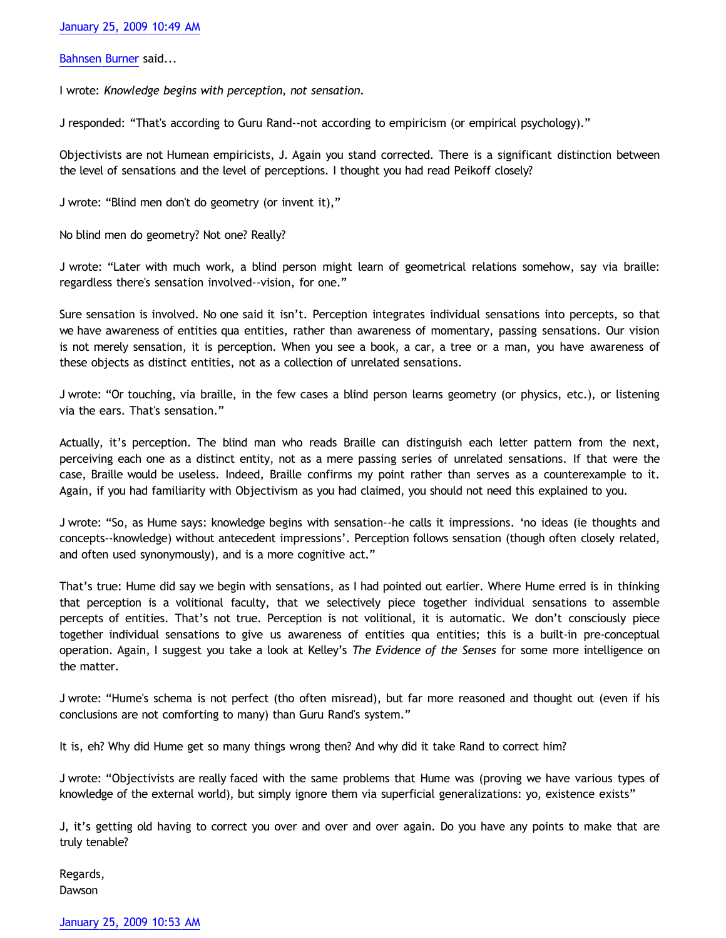### [January 25, 2009 10:49 AM](http://bahnsenburner.blogspot.com/2009/01/#5397857324974887730)

[Bahnsen Burner](http://www.blogger.com/profile/11030029491768748360) said...

I wrote: *Knowledge begins with perception, not sensation.*

J responded: "That's according to Guru Rand--not according to empiricism (or empirical psychology)."

Objectivists are not Humean empiricists, J. Again you stand corrected. There is a significant distinction between the level of sensations and the level of perceptions. I thought you had read Peikoff closely?

J wrote: "Blind men don't do geometry (or invent it),"

No blind men do geometry? Not one? Really?

J wrote: "Later with much work, a blind person might learn of geometrical relations somehow, say via braille: regardless there's sensation involved--vision, for one."

Sure sensation is involved. No one said it isn't. Perception integrates individual sensations into percepts, so that we have awareness of entities qua entities, rather than awareness of momentary, passing sensations. Our vision is not merely sensation, it is perception. When you see a book, a car, a tree or a man, you have awareness of these objects as distinct entities, not as a collection of unrelated sensations.

J wrote: "Or touching, via braille, in the few cases a blind person learns geometry (or physics, etc.), or listening via the ears. That's sensation."

Actually, it's perception. The blind man who reads Braille can distinguish each letter pattern from the next, perceiving each one as a distinct entity, not as a mere passing series of unrelated sensations. If that were the case, Braille would be useless. Indeed, Braille confirms my point rather than serves as a counterexample to it. Again, if you had familiarity with Objectivism as you had claimed, you should not need this explained to you.

J wrote: "So, as Hume says: knowledge begins with sensation--he calls it impressions. 'no ideas (ie thoughts and concepts--knowledge) without antecedent impressions'. Perception follows sensation (though often closely related, and often used synonymously), and is a more cognitive act."

That's true: Hume did say we begin with sensations, as I had pointed out earlier. Where Hume erred is in thinking that perception is a volitional faculty, that we selectively piece together individual sensations to assemble percepts of entities. That's not true. Perception is not volitional, it is automatic. We don't consciously piece together individual sensations to give us awareness of entities qua entities; this is a built-in pre-conceptual operation. Again, I suggest you take a look at Kelley's *The Evidence of the Senses* for some more intelligence on the matter.

J wrote: "Hume's schema is not perfect (tho often misread), but far more reasoned and thought out (even if his conclusions are not comforting to many) than Guru Rand's system."

It is, eh? Why did Hume get so many things wrong then? And why did it take Rand to correct him?

J wrote: "Objectivists are really faced with the same problems that Hume was (proving we have various types of knowledge of the external world), but simply ignore them via superficial generalizations: yo, existence exists"

J, it's getting old having to correct you over and over and over again. Do you have any points to make that are truly tenable?

Regards, **Dawson** 

### [January 25, 2009 10:53 AM](http://bahnsenburner.blogspot.com/2009/01/#1986967426736697646)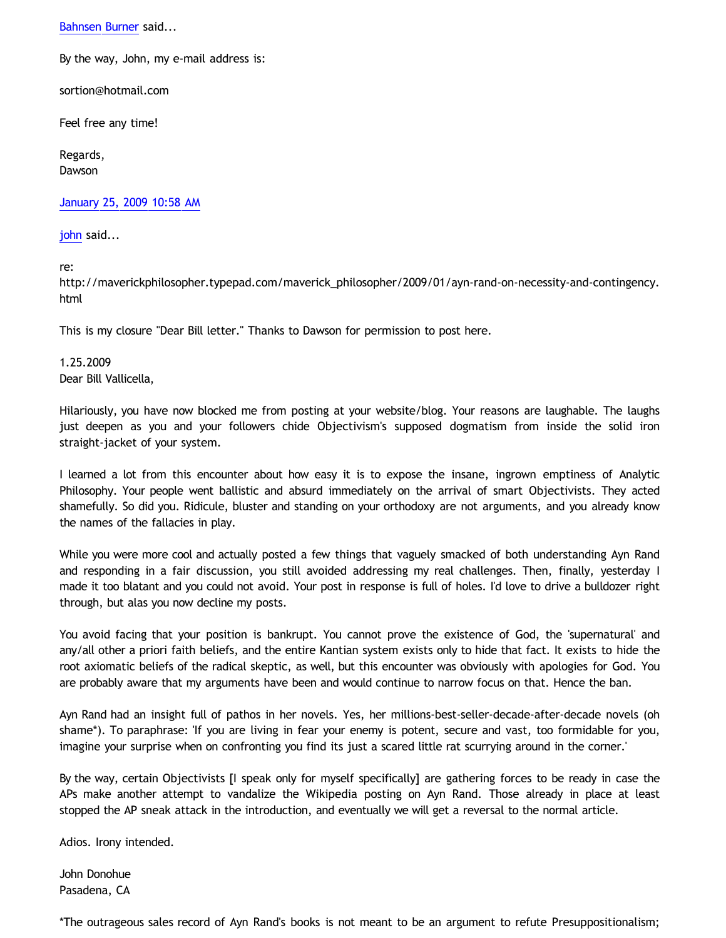[Bahnsen Burner](http://www.blogger.com/profile/11030029491768748360) said...

By the way, John, my e-mail address is:

sortion@hotmail.com

Feel free any time!

Regards, Dawson

[January 25, 2009 10:58 AM](http://bahnsenburner.blogspot.com/2009/01/#8514866003627060162)

[john](http://www.blogger.com/profile/15002005729072165615) said...

re:

[http://maverickphilosopher.typepad.com/maverick\\_philosopher/2009/01/ayn-rand-on-necessity-and-contingency.](http://maverickphilosopher.typepad.com/maverick_philosopher/2009/01/ayn-rand-on-necessity-and-contingency.) html

This is my closure "Dear Bill letter." Thanks to Dawson for permission to post here.

1.25.2009 Dear Bill Vallicella,

Hilariously, you have now blocked me from posting at your website/blog. Your reasons are laughable. The laughs just deepen as you and your followers chide Objectivism's supposed dogmatism from inside the solid iron straight-jacket of your system.

I learned a lot from this encounter about how easy it is to expose the insane, ingrown emptiness of Analytic Philosophy. Your people went ballistic and absurd immediately on the arrival of smart Objectivists. They acted shamefully. So did you. Ridicule, bluster and standing on your orthodoxy are not arguments, and you already know the names of the fallacies in play.

While you were more cool and actually posted a few things that vaguely smacked of both understanding Ayn Rand and responding in a fair discussion, you still avoided addressing my real challenges. Then, finally, yesterday I made it too blatant and you could not avoid. Your post in response is full of holes. I'd love to drive a bulldozer right through, but alas you now decline my posts.

You avoid facing that your position is bankrupt. You cannot prove the existence of God, the 'supernatural' and any/all other a priori faith beliefs, and the entire Kantian system exists only to hide that fact. It exists to hide the root axiomatic beliefs of the radical skeptic, as well, but this encounter was obviously with apologies for God. You are probably aware that my arguments have been and would continue to narrow focus on that. Hence the ban.

Ayn Rand had an insight full of pathos in her novels. Yes, her millions-best-seller-decade-after-decade novels (oh shame\*). To paraphrase: 'If you are living in fear your enemy is potent, secure and vast, too formidable for you, imagine your surprise when on confronting you find its just a scared little rat scurrying around in the corner.'

By the way, certain Objectivists [I speak only for myself specifically] are gathering forces to be ready in case the APs make another attempt to vandalize the Wikipedia posting on Ayn Rand. Those already in place at least stopped the AP sneak attack in the introduction, and eventually we will get a reversal to the normal article.

Adios. Irony intended.

John Donohue Pasadena, CA

\*The outrageous sales record of Ayn Rand's books is not meant to be an argument to refute Presuppositionalism;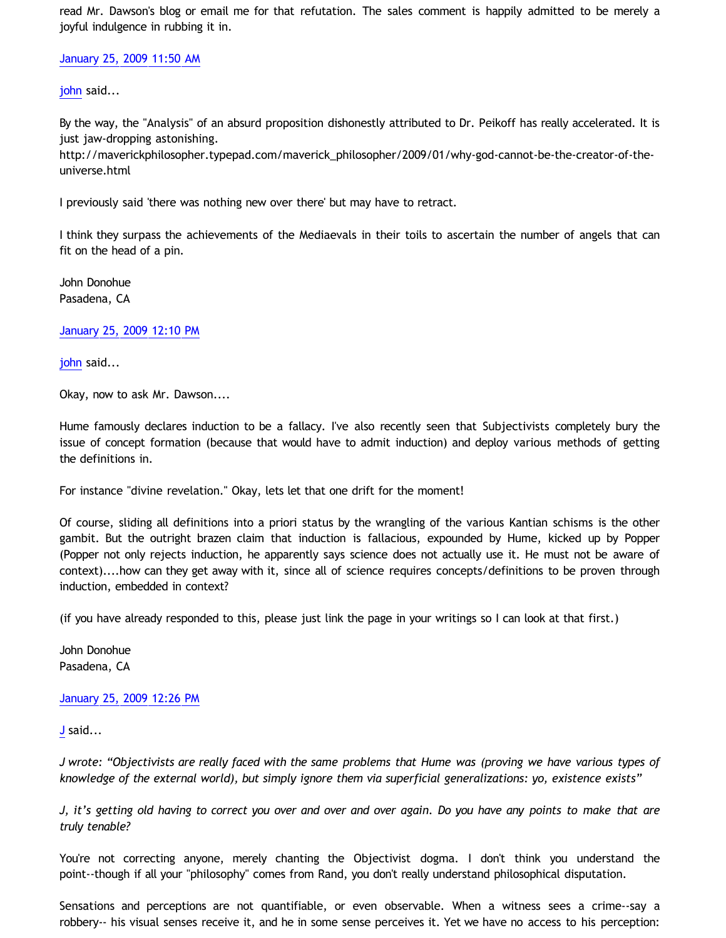read Mr. Dawson's blog or email me for that refutation. The sales comment is happily admitted to be merely a joyful indulgence in rubbing it in.

[January 25, 2009 11:50 AM](http://bahnsenburner.blogspot.com/2009/01/#3241584959897756995)

[john](http://www.blogger.com/profile/15002005729072165615) said...

By the way, the "Analysis" of an absurd proposition dishonestly attributed to Dr. Peikoff has really accelerated. It is just jaw-dropping astonishing.

[http://maverickphilosopher.typepad.com/maverick\\_philosopher/2009/01/why-god-cannot-be-the-creator-of-the](http://maverickphilosopher.typepad.com/maverick_philosopher/2009/01/why-god-cannot-be-the-creator-of-the-)universe.html

I previously said 'there was nothing new over there' but may have to retract.

I think they surpass the achievements of the Mediaevals in their toils to ascertain the number of angels that can fit on the head of a pin.

John Donohue Pasadena, CA

[January 25, 2009 12:10 PM](http://bahnsenburner.blogspot.com/2009/01/#1769409184597384045)

[john](http://www.blogger.com/profile/15002005729072165615) said...

Okay, now to ask Mr. Dawson....

Hume famously declares induction to be a fallacy. I've also recently seen that Subjectivists completely bury the issue of concept formation (because that would have to admit induction) and deploy various methods of getting the definitions in.

For instance "divine revelation." Okay, lets let that one drift for the moment!

Of course, sliding all definitions into a priori status by the wrangling of the various Kantian schisms is the other gambit. But the outright brazen claim that induction is fallacious, expounded by Hume, kicked up by Popper (Popper not only rejects induction, he apparently says science does not actually use it. He must not be aware of context)....how can they get away with it, since all of science requires concepts/definitions to be proven through induction, embedded in context?

(if you have already responded to this, please just link the page in your writings so I can look at that first.)

John Donohue Pasadena, CA

[January 25, 2009 12:26 PM](http://bahnsenburner.blogspot.com/2009/01/#7563077318873153638)

[J](http://www.blogger.com/profile/11567400697675996283) said...

*J wrote: "Objectivists are really faced with the same problems that Hume was (proving we have various types of knowledge of the external world), but simply ignore them via superficial generalizations: yo, existence exists"*

*J, it's getting old having to correct you over and over and over again. Do you have any points to make that are truly tenable?*

You're not correcting anyone, merely chanting the Objectivist dogma. I don't think you understand the point--though if all your "philosophy" comes from Rand, you don't really understand philosophical disputation.

Sensations and perceptions are not quantifiable, or even observable. When a witness sees a crime--say a robbery-- his visual senses receive it, and he in some sense perceives it. Yet we have no access to his perception: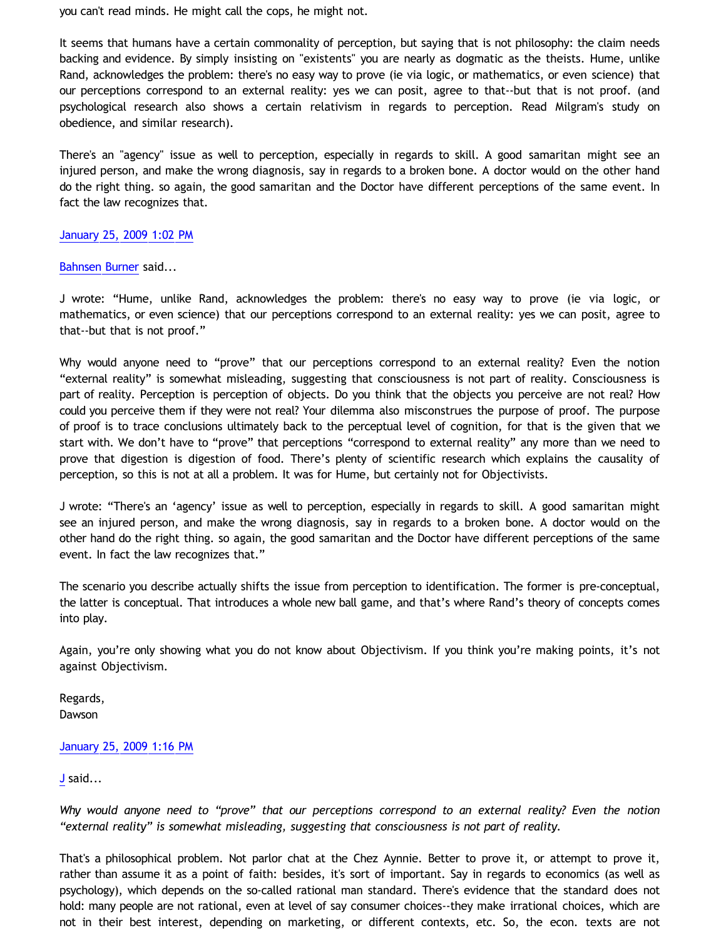you can't read minds. He might call the cops, he might not.

It seems that humans have a certain commonality of perception, but saying that is not philosophy: the claim needs backing and evidence. By simply insisting on "existents" you are nearly as dogmatic as the theists. Hume, unlike Rand, acknowledges the problem: there's no easy way to prove (ie via logic, or mathematics, or even science) that our perceptions correspond to an external reality: yes we can posit, agree to that--but that is not proof. (and psychological research also shows a certain relativism in regards to perception. Read Milgram's study on obedience, and similar research).

There's an "agency" issue as well to perception, especially in regards to skill. A good samaritan might see an injured person, and make the wrong diagnosis, say in regards to a broken bone. A doctor would on the other hand do the right thing. so again, the good samaritan and the Doctor have different perceptions of the same event. In fact the law recognizes that.

### [January 25, 2009 1:02 PM](http://bahnsenburner.blogspot.com/2009/01/#8046422695523375875)

### [Bahnsen Burner](http://www.blogger.com/profile/11030029491768748360) said...

J wrote: "Hume, unlike Rand, acknowledges the problem: there's no easy way to prove (ie via logic, or mathematics, or even science) that our perceptions correspond to an external reality: yes we can posit, agree to that--but that is not proof."

Why would anyone need to "prove" that our perceptions correspond to an external reality? Even the notion "external reality" is somewhat misleading, suggesting that consciousness is not part of reality. Consciousness is part of reality. Perception is perception of objects. Do you think that the objects you perceive are not real? How could you perceive them if they were not real? Your dilemma also misconstrues the purpose of proof. The purpose of proof is to trace conclusions ultimately back to the perceptual level of cognition, for that is the given that we start with. We don't have to "prove" that perceptions "correspond to external reality" any more than we need to prove that digestion is digestion of food. There's plenty of scientific research which explains the causality of perception, so this is not at all a problem. It was for Hume, but certainly not for Objectivists.

J wrote: "There's an 'agency' issue as well to perception, especially in regards to skill. A good samaritan might see an injured person, and make the wrong diagnosis, say in regards to a broken bone. A doctor would on the other hand do the right thing. so again, the good samaritan and the Doctor have different perceptions of the same event. In fact the law recognizes that."

The scenario you describe actually shifts the issue from perception to identification. The former is pre-conceptual, the latter is conceptual. That introduces a whole new ball game, and that's where Rand's theory of concepts comes into play.

Again, you're only showing what you do not know about Objectivism. If you think you're making points, it's not against Objectivism.

Regards, Dawson

# [January 25, 2009 1:16 PM](http://bahnsenburner.blogspot.com/2009/01/#5780299762476046657)

[J](http://www.blogger.com/profile/11567400697675996283) said...

*Why would anyone need to "prove" that our perceptions correspond to an external reality? Even the notion "external reality" is somewhat misleading, suggesting that consciousness is not part of reality.*

That's a philosophical problem. Not parlor chat at the Chez Aynnie. Better to prove it, or attempt to prove it, rather than assume it as a point of faith: besides, it's sort of important. Say in regards to economics (as well as psychology), which depends on the so-called rational man standard. There's evidence that the standard does not hold: many people are not rational, even at level of say consumer choices--they make irrational choices, which are not in their best interest, depending on marketing, or different contexts, etc. So, the econ. texts are not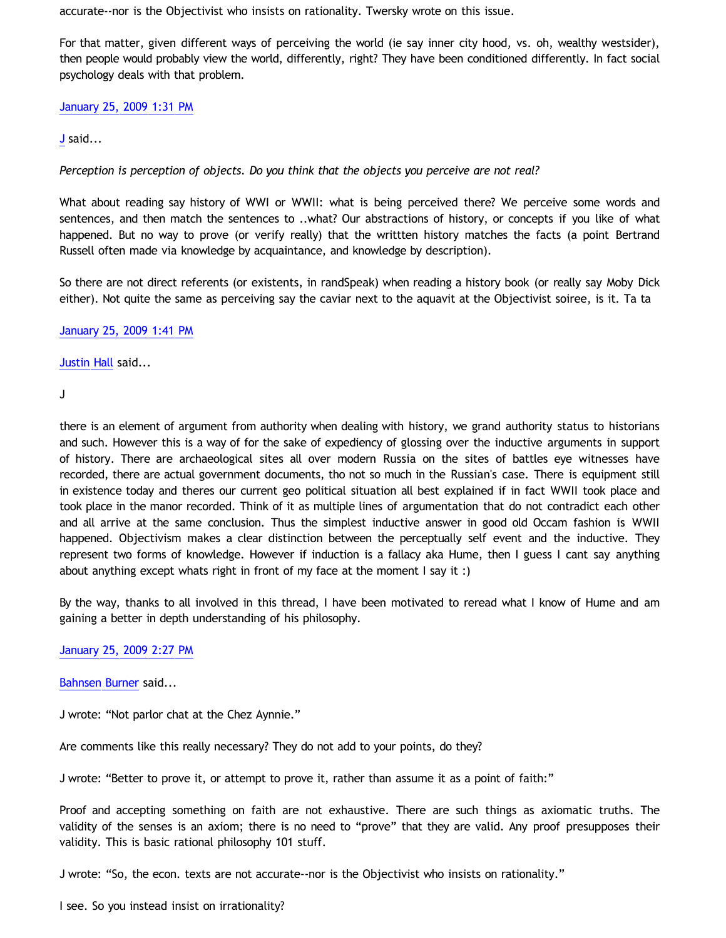accurate--nor is the Objectivist who insists on rationality. Twersky wrote on this issue.

For that matter, given different ways of perceiving the world (ie say inner city hood, vs. oh, wealthy westsider), then people would probably view the world, differently, right? They have been conditioned differently. In fact social psychology deals with that problem.

# [January 25, 2009 1:31 PM](http://bahnsenburner.blogspot.com/2009/01/#6319800568977250792)

[J](http://www.blogger.com/profile/11567400697675996283) said...

# *Perception is perception of objects. Do you think that the objects you perceive are not real?*

What about reading say history of WWI or WWII: what is being perceived there? We perceive some words and sentences, and then match the sentences to ..what? Our abstractions of history, or concepts if you like of what happened. But no way to prove (or verify really) that the writtten history matches the facts (a point Bertrand Russell often made via knowledge by acquaintance, and knowledge by description).

So there are not direct referents (or existents, in randSpeak) when reading a history book (or really say Moby Dick either). Not quite the same as perceiving say the caviar next to the aquavit at the Objectivist soiree, is it. Ta ta

[January 25, 2009 1:41 PM](http://bahnsenburner.blogspot.com/2009/01/#7428845448643293284)

[Justin Hall](http://www.blogger.com/profile/17804641315202800289) said...

J

there is an element of argument from authority when dealing with history, we grand authority status to historians and such. However this is a way of for the sake of expediency of glossing over the inductive arguments in support of history. There are archaeological sites all over modern Russia on the sites of battles eye witnesses have recorded, there are actual government documents, tho not so much in the Russian's case. There is equipment still in existence today and theres our current geo political situation all best explained if in fact WWII took place and took place in the manor recorded. Think of it as multiple lines of argumentation that do not contradict each other and all arrive at the same conclusion. Thus the simplest inductive answer in good old Occam fashion is WWII happened. Objectivism makes a clear distinction between the perceptually self event and the inductive. They represent two forms of knowledge. However if induction is a fallacy aka Hume, then I guess I cant say anything about anything except whats right in front of my face at the moment I say it :)

By the way, thanks to all involved in this thread, I have been motivated to reread what I know of Hume and am gaining a better in depth understanding of his philosophy.

[January 25, 2009 2:27 PM](http://bahnsenburner.blogspot.com/2009/01/#1598305498227758383)

[Bahnsen Burner](http://www.blogger.com/profile/11030029491768748360) said...

J wrote: "Not parlor chat at the Chez Aynnie."

Are comments like this really necessary? They do not add to your points, do they?

J wrote: "Better to prove it, or attempt to prove it, rather than assume it as a point of faith:"

Proof and accepting something on faith are not exhaustive. There are such things as axiomatic truths. The validity of the senses is an axiom; there is no need to "prove" that they are valid. Any proof presupposes their validity. This is basic rational philosophy 101 stuff.

J wrote: "So, the econ. texts are not accurate--nor is the Objectivist who insists on rationality."

I see. So you instead insist on irrationality?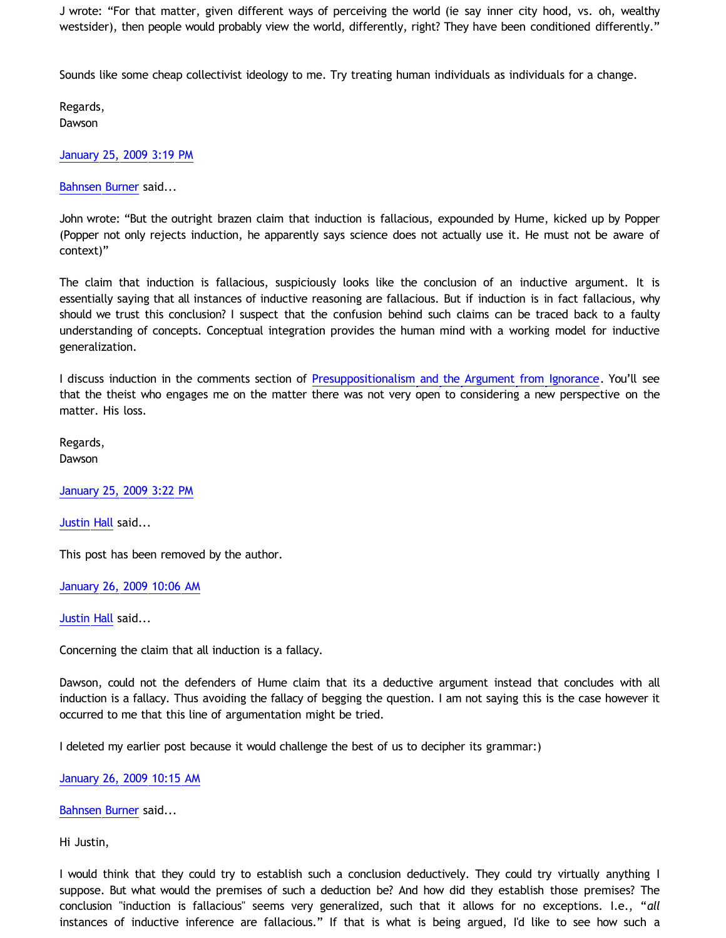J wrote: "For that matter, given different ways of perceiving the world (ie say inner city hood, vs. oh, wealthy westsider), then people would probably view the world, differently, right? They have been conditioned differently."

Sounds like some cheap collectivist ideology to me. Try treating human individuals as individuals for a change.

Regards, Dawson

[January 25, 2009 3:19 PM](http://bahnsenburner.blogspot.com/2009/01/#3776291625758130872)

[Bahnsen Burner](http://www.blogger.com/profile/11030029491768748360) said...

John wrote: "But the outright brazen claim that induction is fallacious, expounded by Hume, kicked up by Popper (Popper not only rejects induction, he apparently says science does not actually use it. He must not be aware of context)"

The claim that induction is fallacious, suspiciously looks like the conclusion of an inductive argument. It is essentially saying that all instances of inductive reasoning are fallacious. But if induction is in fact fallacious, why should we trust this conclusion? I suspect that the confusion behind such claims can be traced back to a faulty understanding of concepts. Conceptual integration provides the human mind with a working model for inductive generalization.

I discuss induction in the comments section of [Presuppositionalism and the Argument from Ignorance](http://bahnsenburner.blogspot.com/2006/02/presuppositionalism-and-argument-from.html). You'll see that the theist who engages me on the matter there was not very open to considering a new perspective on the matter. His loss.

Regards, Dawson

[January 25, 2009 3:22 PM](http://bahnsenburner.blogspot.com/2009/01/#8130704449499289426)

[Justin Hall](http://www.blogger.com/profile/17804641315202800289) said...

This post has been removed by the author.

[January 26, 2009 10:06 AM](http://bahnsenburner.blogspot.com/2009/01/#6666680284305021772)

[Justin Hall](http://www.blogger.com/profile/17804641315202800289) said...

Concerning the claim that all induction is a fallacy.

Dawson, could not the defenders of Hume claim that its a deductive argument instead that concludes with all induction is a fallacy. Thus avoiding the fallacy of begging the question. I am not saying this is the case however it occurred to me that this line of argumentation might be tried.

I deleted my earlier post because it would challenge the best of us to decipher its grammar:)

[January 26, 2009 10:15 AM](http://bahnsenburner.blogspot.com/2009/01/#459688967231292671)

[Bahnsen Burner](http://www.blogger.com/profile/11030029491768748360) said...

Hi Justin,

I would think that they could try to establish such a conclusion deductively. They could try virtually anything I suppose. But what would the premises of such a deduction be? And how did they establish those premises? The conclusion "induction is fallacious" seems very generalized, such that it allows for no exceptions. I.e., "*all* instances of inductive inference are fallacious." If that is what is being argued, I'd like to see how such a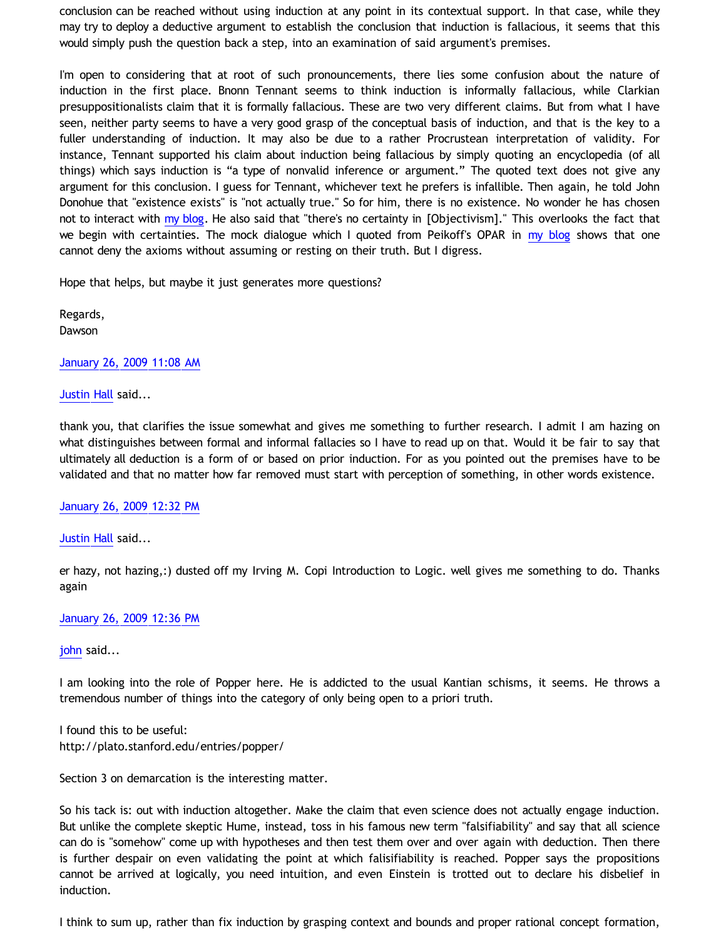conclusion can be reached without using induction at any point in its contextual support. In that case, while they may try to deploy a deductive argument to establish the conclusion that induction is fallacious, it seems that this would simply push the question back a step, into an examination of said argument's premises.

I'm open to considering that at root of such pronouncements, there lies some confusion about the nature of induction in the first place. Bnonn Tennant seems to think induction is informally fallacious, while Clarkian presuppositionalists claim that it is formally fallacious. These are two very different claims. But from what I have seen, neither party seems to have a very good grasp of the conceptual basis of induction, and that is the key to a fuller understanding of induction. It may also be due to a rather Procrustean interpretation of validity. For instance, Tennant supported his claim about induction being fallacious by simply quoting an encyclopedia (of all things) which says induction is "a type of nonvalid inference or argument." The quoted text does not give any argument for this conclusion. I guess for Tennant, whichever text he prefers is infallible. Then again, he told John Donohue that "existence exists" is "not actually true." So for him, there is no existence. No wonder he has chosen not to interact with [my blog](http://bahnsenburner.blogspot.com/2008/10/reply-to-tennant-on-theistic.html). He also said that "there's no certainty in [Objectivism]." This overlooks the fact that we begin with certainties. The mock dialogue which I quoted from Peikoff's OPAR in [my blog](http://bahnsenburner.blogspot.com/2008/10/reply-to-tennant-on-theistic.html) shows that one cannot deny the axioms without assuming or resting on their truth. But I digress.

Hope that helps, but maybe it just generates more questions?

Regards, Dawson

[January 26, 2009 11:08 AM](http://bahnsenburner.blogspot.com/2009/01/#7571697000757322328)

[Justin Hall](http://www.blogger.com/profile/17804641315202800289) said...

thank you, that clarifies the issue somewhat and gives me something to further research. I admit I am hazing on what distinguishes between formal and informal fallacies so I have to read up on that. Would it be fair to say that ultimately all deduction is a form of or based on prior induction. For as you pointed out the premises have to be validated and that no matter how far removed must start with perception of something, in other words existence.

# [January 26, 2009 12:32 PM](http://bahnsenburner.blogspot.com/2009/01/#8381503630214035426)

[Justin Hall](http://www.blogger.com/profile/17804641315202800289) said...

er hazy, not hazing,:) dusted off my Irving M. Copi Introduction to Logic. well gives me something to do. Thanks again

### [January 26, 2009 12:36 PM](http://bahnsenburner.blogspot.com/2009/01/#3060205850182282936)

[john](http://www.blogger.com/profile/15002005729072165615) said...

I am looking into the role of Popper here. He is addicted to the usual Kantian schisms, it seems. He throws a tremendous number of things into the category of only being open to a priori truth.

I found this to be useful: <http://plato.stanford.edu/entries/popper/>

Section 3 on demarcation is the interesting matter.

So his tack is: out with induction altogether. Make the claim that even science does not actually engage induction. But unlike the complete skeptic Hume, instead, toss in his famous new term "falsifiability" and say that all science can do is "somehow" come up with hypotheses and then test them over and over again with deduction. Then there is further despair on even validating the point at which falisifiability is reached. Popper says the propositions cannot be arrived at logically, you need intuition, and even Einstein is trotted out to declare his disbelief in induction.

I think to sum up, rather than fix induction by grasping context and bounds and proper rational concept formation,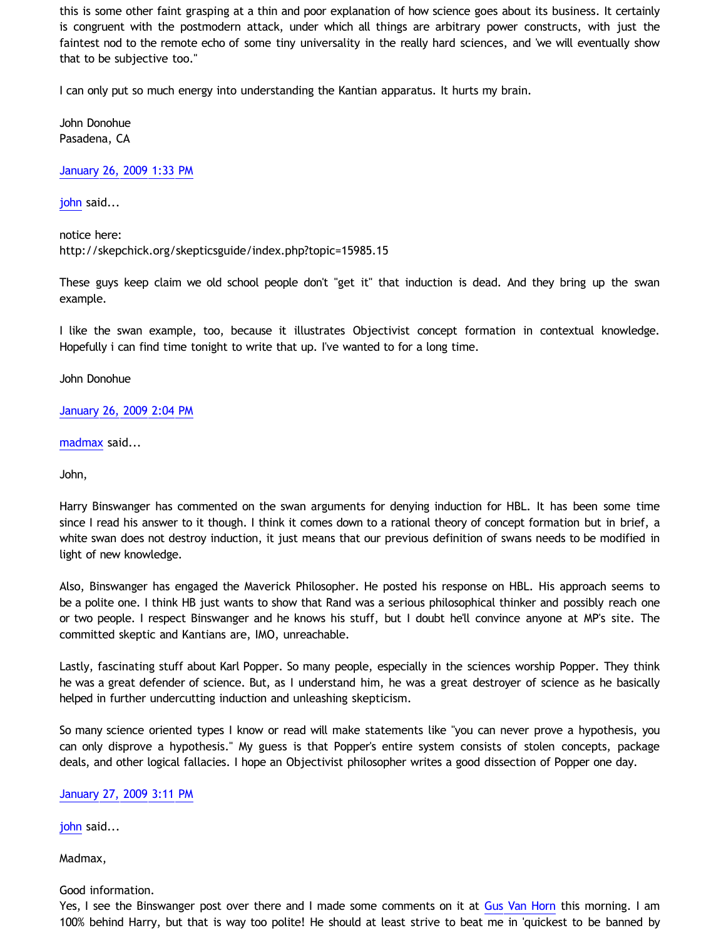this is some other faint grasping at a thin and poor explanation of how science goes about its business. It certainly is congruent with the postmodern attack, under which all things are arbitrary power constructs, with just the faintest nod to the remote echo of some tiny universality in the really hard sciences, and 'we will eventually show that to be subjective too."

I can only put so much energy into understanding the Kantian apparatus. It hurts my brain.

John Donohue Pasadena, CA

[January 26, 2009 1:33 PM](http://bahnsenburner.blogspot.com/2009/01/#7021304357412938379)

[john](http://www.blogger.com/profile/15002005729072165615) said...

notice here: <http://skepchick.org/skepticsguide/index.php?topic=15985.15>

These guys keep claim we old school people don't "get it" that induction is dead. And they bring up the swan example.

I like the swan example, too, because it illustrates Objectivist concept formation in contextual knowledge. Hopefully i can find time tonight to write that up. I've wanted to for a long time.

John Donohue

[January 26, 2009 2:04 PM](http://bahnsenburner.blogspot.com/2009/01/#1293875852734671622)

[madmax](http://www.blogger.com/profile/14375140131881725965) said...

John,

Harry Binswanger has commented on the swan arguments for denying induction for HBL. It has been some time since I read his answer to it though. I think it comes down to a rational theory of concept formation but in brief, a white swan does not destroy induction, it just means that our previous definition of swans needs to be modified in light of new knowledge.

Also, Binswanger has engaged the Maverick Philosopher. He posted his response on HBL. His approach seems to be a polite one. I think HB just wants to show that Rand was a serious philosophical thinker and possibly reach one or two people. I respect Binswanger and he knows his stuff, but I doubt he'll convince anyone at MP's site. The committed skeptic and Kantians are, IMO, unreachable.

Lastly, fascinating stuff about Karl Popper. So many people, especially in the sciences worship Popper. They think he was a great defender of science. But, as I understand him, he was a great destroyer of science as he basically helped in further undercutting induction and unleashing skepticism.

So many science oriented types I know or read will make statements like "you can never prove a hypothesis, you can only disprove a hypothesis." My guess is that Popper's entire system consists of stolen concepts, package deals, and other logical fallacies. I hope an Objectivist philosopher writes a good dissection of Popper one day.

# [January 27, 2009 3:11 PM](http://bahnsenburner.blogspot.com/2009/01/#6007095206397440069)

[john](http://www.blogger.com/profile/15002005729072165615) said...

Madmax,

Good information.

Yes, I see the Binswanger post over there and I made some comments on it at [Gus Van Horn](http://gusvanhorn.blogspot.com/2009/01/quick-roundup-397.html#comments) this morning. I am 100% behind Harry, but that is way too polite! He should at least strive to beat me in 'quickest to be banned by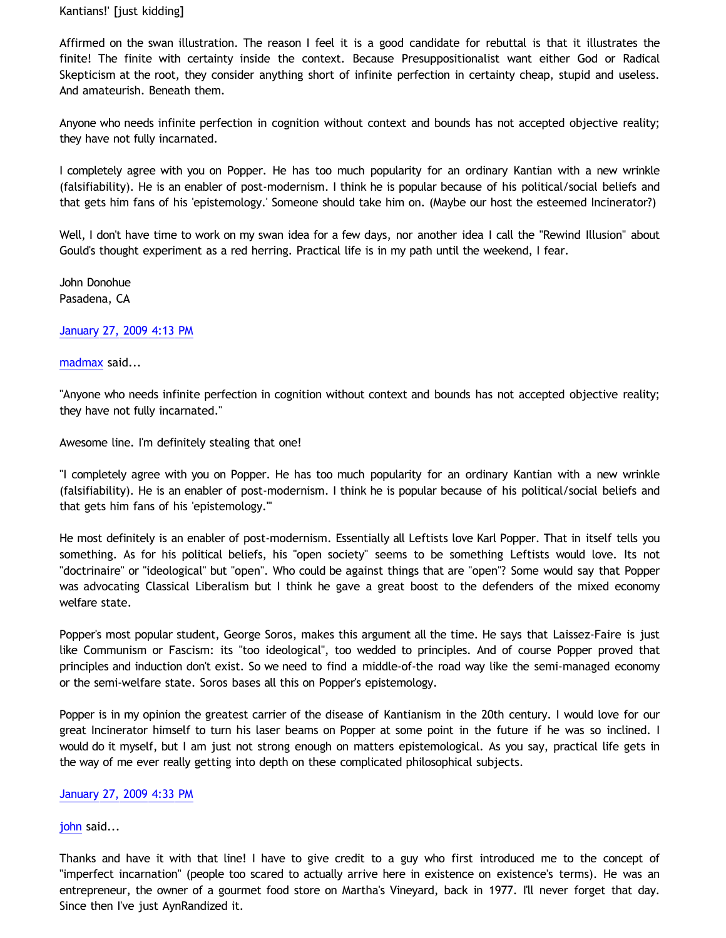# Kantians!' [just kidding]

Affirmed on the swan illustration. The reason I feel it is a good candidate for rebuttal is that it illustrates the finite! The finite with certainty inside the context. Because Presuppositionalist want either God or Radical Skepticism at the root, they consider anything short of infinite perfection in certainty cheap, stupid and useless. And amateurish. Beneath them.

Anyone who needs infinite perfection in cognition without context and bounds has not accepted objective reality; they have not fully incarnated.

I completely agree with you on Popper. He has too much popularity for an ordinary Kantian with a new wrinkle (falsifiability). He is an enabler of post-modernism. I think he is popular because of his political/social beliefs and that gets him fans of his 'epistemology.' Someone should take him on. (Maybe our host the esteemed Incinerator?)

Well, I don't have time to work on my swan idea for a few days, nor another idea I call the "Rewind Illusion" about Gould's thought experiment as a red herring. Practical life is in my path until the weekend, I fear.

John Donohue Pasadena, CA

# [January 27, 2009 4:13 PM](http://bahnsenburner.blogspot.com/2009/01/#8791494314866585712)

# [madmax](http://www.blogger.com/profile/14375140131881725965) said...

"Anyone who needs infinite perfection in cognition without context and bounds has not accepted objective reality; they have not fully incarnated."

Awesome line. I'm definitely stealing that one!

"I completely agree with you on Popper. He has too much popularity for an ordinary Kantian with a new wrinkle (falsifiability). He is an enabler of post-modernism. I think he is popular because of his political/social beliefs and that gets him fans of his 'epistemology.'"

He most definitely is an enabler of post-modernism. Essentially all Leftists love Karl Popper. That in itself tells you something. As for his political beliefs, his "open society" seems to be something Leftists would love. Its not "doctrinaire" or "ideological" but "open". Who could be against things that are "open"? Some would say that Popper was advocating Classical Liberalism but I think he gave a great boost to the defenders of the mixed economy welfare state.

Popper's most popular student, George Soros, makes this argument all the time. He says that Laissez-Faire is just like Communism or Fascism: its "too ideological", too wedded to principles. And of course Popper proved that principles and induction don't exist. So we need to find a middle-of-the road way like the semi-managed economy or the semi-welfare state. Soros bases all this on Popper's epistemology.

Popper is in my opinion the greatest carrier of the disease of Kantianism in the 20th century. I would love for our great Incinerator himself to turn his laser beams on Popper at some point in the future if he was so inclined. I would do it myself, but I am just not strong enough on matters epistemological. As you say, practical life gets in the way of me ever really getting into depth on these complicated philosophical subjects.

# [January 27, 2009 4:33 PM](http://bahnsenburner.blogspot.com/2009/01/#4448689188415661751)

# [john](http://www.blogger.com/profile/15002005729072165615) said...

Thanks and have it with that line! I have to give credit to a guy who first introduced me to the concept of "imperfect incarnation" (people too scared to actually arrive here in existence on existence's terms). He was an entrepreneur, the owner of a gourmet food store on Martha's Vineyard, back in 1977. I'll never forget that day. Since then I've just AynRandized it.